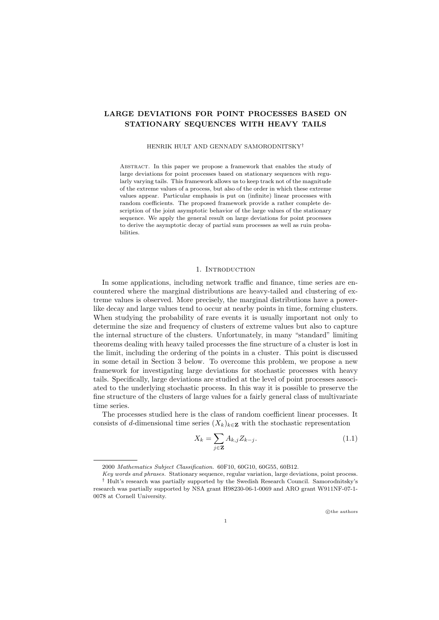# LARGE DEVIATIONS FOR POINT PROCESSES BASED ON STATIONARY SEQUENCES WITH HEAVY TAILS

#### HENRIK HULT AND GENNADY SAMORODNITSKY†

Abstract. In this paper we propose a framework that enables the study of large deviations for point processes based on stationary sequences with regularly varying tails. This framework allows us to keep track not of the magnitude of the extreme values of a process, but also of the order in which these extreme values appear. Particular emphasis is put on (infinite) linear processes with random coefficients. The proposed framework provide a rather complete description of the joint asymptotic behavior of the large values of the stationary sequence. We apply the general result on large deviations for point processes to derive the asymptotic decay of partial sum processes as well as ruin probabilities.

## 1. INTRODUCTION

In some applications, including network traffic and finance, time series are encountered where the marginal distributions are heavy-tailed and clustering of extreme values is observed. More precisely, the marginal distributions have a powerlike decay and large values tend to occur at nearby points in time, forming clusters. When studying the probability of rare events it is usually important not only to determine the size and frequency of clusters of extreme values but also to capture the internal structure of the clusters. Unfortunately, in many "standard" limiting theorems dealing with heavy tailed processes the fine structure of a cluster is lost in the limit, including the ordering of the points in a cluster. This point is discussed in some detail in Section 3 below. To overcome this problem, we propose a new framework for investigating large deviations for stochastic processes with heavy tails. Specifically, large deviations are studied at the level of point processes associated to the underlying stochastic process. In this way it is possible to preserve the fine structure of the clusters of large values for a fairly general class of multivariate time series.

The processes studied here is the class of random coefficient linear processes. It consists of d-dimensional time series  $(X_k)_{k\in\mathbb{Z}}$  with the stochastic representation

$$
X_k = \sum_{j \in \mathbf{Z}} A_{k,j} Z_{k-j}.
$$
\n(1.1)

<sup>2000</sup> Mathematics Subject Classification. 60F10, 60G10, 60G55, 60B12.

Key words and phrases. Stationary sequence, regular variation, large deviations, point process. † Hult's research was partially supported by the Swedish Research Council. Samorodnitsky's research was partially supported by NSA grant H98230-06-1-0069 and ARO grant W911NF-07-1- 0078 at Cornell University.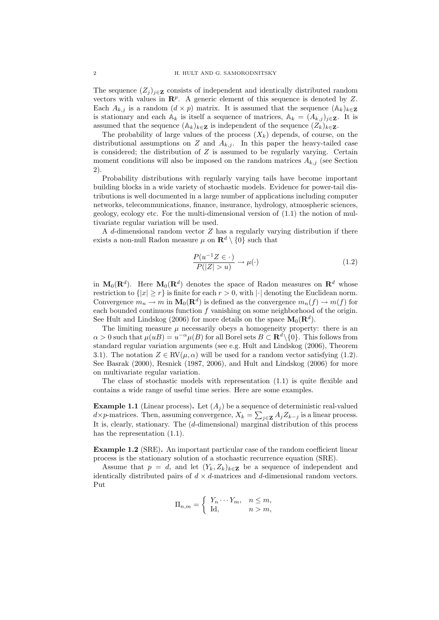The sequence  $(Z_j)_{j\in\mathbf{Z}}$  consists of independent and identically distributed random vectors with values in  $\mathbb{R}^p$ . A generic element of this sequence is denoted by Z. Each  $A_{k,j}$  is a random  $(d \times p)$  matrix. It is assumed that the sequence  $(A_k)_{k\in\mathbb{Z}}$ is stationary and each  $A_k$  is itself a sequence of matrices,  $A_k = (A_{k,j})_{i \in \mathbb{Z}}$ . It is assumed that the sequence  $(A_k)_{k\in\mathbb{Z}}$  is independent of the sequence  $(Z_k)_{k\in\mathbb{Z}}$ .

The probability of large values of the process  $(X_k)$  depends, of course, on the distributional assumptions on Z and  $A_{k,j}$ . In this paper the heavy-tailed case is considered; the distribution of  $Z$  is assumed to be regularly varying. Certain moment conditions will also be imposed on the random matrices  $A_{k,j}$  (see Section 2).

Probability distributions with regularly varying tails have become important building blocks in a wide variety of stochastic models. Evidence for power-tail distributions is well documented in a large number of applications including computer networks, telecommunications, finance, insurance, hydrology, atmospheric sciences, geology, ecology etc. For the multi-dimensional version of (1.1) the notion of multivariate regular variation will be used.

A d-dimensional random vector  $Z$  has a regularly varying distribution if there exists a non-null Radon measure  $\mu$  on  $\mathbf{R}^d \setminus \{0\}$  such that

$$
\frac{P(u^{-1}Z \in \cdot)}{P(|Z| > u)} \to \mu(\cdot) \tag{1.2}
$$

in  $M_0(\mathbf{R}^d)$ . Here  $M_0(\mathbf{R}^d)$  denotes the space of Radon measures on  $\mathbf{R}^d$  whose restriction to  $\{|x| \geq r\}$  is finite for each  $r > 0$ , with  $|\cdot|$  denoting the Euclidean norm. Convergence  $m_n \to m$  in  $\mathbf{M}_0(\mathbf{R}^d)$  is defined as the convergence  $m_n(f) \to m(f)$  for each bounded continuous function  $f$  vanishing on some neighborhood of the origin. See Hult and Lindskog (2006) for more details on the space  $\mathbf{M}_{0}(\mathbf{R}^{d})$ .

The limiting measure  $\mu$  necessarily obeys a homogeneity property: there is an  $\alpha > 0$  such that  $\mu(uB) = u^{-\alpha}\mu(B)$  for all Borel sets  $B \subset \mathbf{R}^d \setminus \{0\}$ . This follows from standard regular variation arguments (see e.g. Hult and Lindskog (2006), Theorem 3.1). The notation  $Z \in \text{RV}(\mu, \alpha)$  will be used for a random vector satisfying (1.2). See Basrak (2000), Resnick (1987, 2006), and Hult and Lindskog (2006) for more on multivariate regular variation.

The class of stochastic models with representation (1.1) is quite flexible and contains a wide range of useful time series. Here are some examples.

**Example 1.1** (Linear process). Let  $(A_i)$  be a sequence of deterministic real-valued d×p-matrices. Then, assuming convergence,  $X_k = \sum_{j \in \mathbf{Z}} A_j Z_{k-j}$  is a linear process. It is, clearly, stationary. The (d-dimensional) marginal distribution of this process has the representation  $(1.1)$ .

Example 1.2 (SRE). An important particular case of the random coefficient linear process is the stationary solution of a stochastic recurrence equation (SRE).

Assume that  $p = d$ , and let  $(Y_k, Z_k)_{k \in \mathbb{Z}}$  be a sequence of independent and identically distributed pairs of  $d \times d$ -matrices and d-dimensional random vectors. Put

$$
\Pi_{n,m} = \begin{cases} Y_n \cdots Y_m, & n \le m, \\ \mathrm{Id}, & n > m, \end{cases}
$$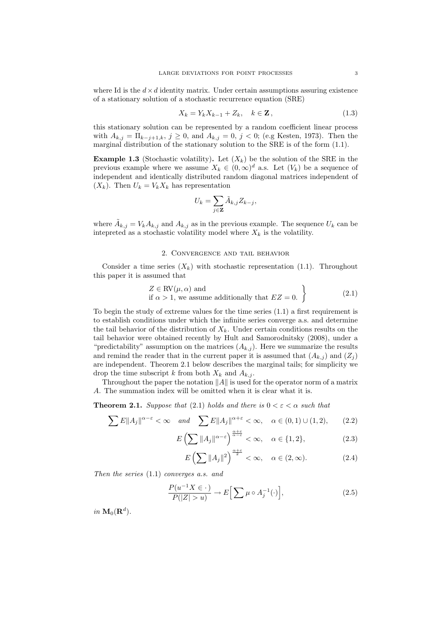where Id is the  $d \times d$  identity matrix. Under certain assumptions assuring existence of a stationary solution of a stochastic recurrence equation (SRE)

$$
X_k = Y_k X_{k-1} + Z_k, \quad k \in \mathbf{Z},
$$
\n
$$
(1.3)
$$

this stationary solution can be represented by a random coefficient linear process with  $A_{k,j} = \prod_{k-j+1,k}, j \ge 0$ , and  $A_{k,j} = 0, j < 0$ ; (e.g Kesten, 1973). Then the marginal distribution of the stationary solution to the SRE is of the form (1.1).

**Example 1.3** (Stochastic volatility). Let  $(X_k)$  be the solution of the SRE in the previous example where we assume  $X_k \in (0, \infty)^d$  a.s. Let  $(V_k)$  be a sequence of independent and identically distributed random diagonal matrices independent of  $(X_k)$ . Then  $U_k = V_k X_k$  has representation

$$
U_k = \sum_{j \in \mathbf{Z}} \tilde{A}_{k,j} Z_{k-j},
$$

where  $\tilde{A}_{k,j} = V_k A_{k,j}$  and  $A_{k,j}$  as in the previous example. The sequence  $U_k$  can be intepreted as a stochastic volatility model where  $X_k$  is the volatility.

## 2. Convergence and tail behavior

Consider a time series  $(X_k)$  with stochastic representation (1.1). Throughout this paper it is assumed that

$$
Z \in \text{RV}(\mu, \alpha)
$$
 and  
if  $\alpha > 1$ , we assume additionally that  $EZ = 0$ . (2.1)

To begin the study of extreme values for the time series  $(1.1)$  a first requirement is to establish conditions under which the infinite series converge a.s. and determine the tail behavior of the distribution of  $X_k$ . Under certain conditions results on the tail behavior were obtained recently by Hult and Samorodnitsky (2008), under a "predictability" assumption on the matrices  $(A_{k,j})$ . Here we summarize the results and remind the reader that in the current paper it is assumed that  $(A_{k,j})$  and  $(Z_j)$ are independent. Theorem 2.1 below describes the marginal tails; for simplicity we drop the time subscript k from both  $X_k$  and  $A_{k,i}$ .

Throughout the paper the notation  $||A||$  is used for the operator norm of a matrix A. The summation index will be omitted when it is clear what it is.

**Theorem 2.1.** Suppose that (2.1) holds and there is  $0 < \varepsilon < \alpha$  such that

$$
\sum E||A_j||^{\alpha-\varepsilon} < \infty \quad \text{and} \quad \sum E||A_j||^{\alpha+\varepsilon} < \infty, \quad \alpha \in (0,1) \cup (1,2), \tag{2.2}
$$

$$
E\left(\sum \|A_j\|^{\alpha-\varepsilon}\right)^{\frac{\alpha+\varepsilon}{\alpha-\varepsilon}} < \infty, \quad \alpha \in \{1,2\},\tag{2.3}
$$

$$
E\left(\sum \|A_j\|^2\right)^{\frac{\alpha+\varepsilon}{2}} < \infty, \quad \alpha \in (2, \infty). \tag{2.4}
$$

Then the series (1.1) converges a.s. and

$$
\frac{P(u^{-1}X \in \cdot)}{P(|Z| > u)} \to E\Big[\sum \mu \circ A_j^{-1}(\cdot)\Big],\tag{2.5}
$$

in  $\mathbf{M}_0(\mathbf{R}^d)$ .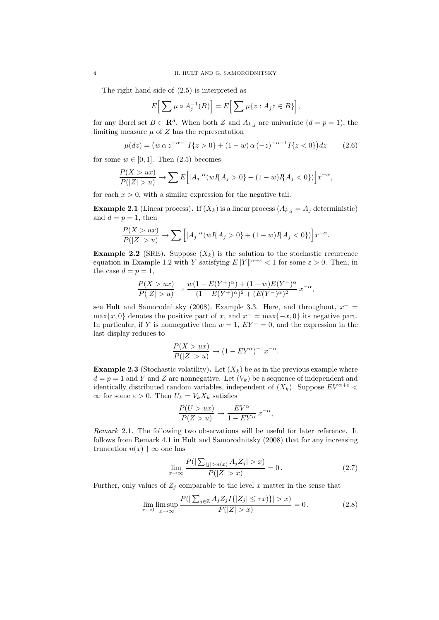The right hand side of (2.5) is interpreted as

$$
E\left[\sum \mu \circ A_j^{-1}(B)\right] = E\left[\sum \mu\{z : A_j z \in B\}\right],
$$

for any Borel set  $B \subset \mathbf{R}^d$ . When both Z and  $A_{k,j}$  are univariate  $(d = p = 1)$ , the limiting measure  $\mu$  of  $Z$  has the representation

$$
\mu(dz) = (w \alpha z^{-\alpha - 1} I\{z > 0\} + (1 - w) \alpha (-z)^{-\alpha - 1} I\{z < 0\}) dz \tag{2.6}
$$

for some  $w \in [0, 1]$ . Then  $(2.5)$  becomes

$$
\frac{P(X > ux)}{P(|Z| > u)} \to \sum E\Big[|A_j|^\alpha (wI\{A_j > 0\} + (1 - w)I\{A_j < 0\})\Big]x^{-\alpha},
$$

for each  $x > 0$ , with a similar expression for the negative tail.

**Example 2.1** (Linear process). If  $(X_k)$  is a linear process  $(A_{k,j} = A_j$  deterministic) and  $d = p = 1$ , then

$$
\frac{P(X > ux)}{P(|Z| > u)} \to \sum \left[ |A_j|^\alpha (wI\{A_j > 0\} + (1 - w)I\{A_j < 0\}) \right] x^{-\alpha}.
$$

**Example 2.2** (SRE). Suppose  $(X_k)$  is the solution to the stochastic recurrence equation in Example 1.2 with Y satisfying  $E||Y||^{\alpha+\varepsilon} < 1$  for some  $\varepsilon > 0$ . Then, in the case  $d = p = 1$ ,

$$
\frac{P(X > ux)}{P(|Z| > u)} \to \frac{w(1 - E(Y^+)^\alpha) + (1 - w)E(Y^-)^\alpha}{(1 - E(Y^+)^\alpha)^2 + (E(Y^-)^\alpha)^2} x^{-\alpha},
$$

see Hult and Samorodnitsky (2008), Example 3.3. Here, and throughout,  $x^+$  =  $\max\{x, 0\}$  denotes the positive part of x, and  $x^- = \max\{-x, 0\}$  its negative part. In particular, if Y is nonnegative then  $w = 1$ ,  $EY^{-} = 0$ , and the expression in the last display reduces to

$$
\frac{P(X > ux)}{P(|Z| > u)} \to (1 - EY^{\alpha})^{-1}x^{-\alpha}.
$$

**Example 2.3** (Stochastic volatility). Let  $(X_k)$  be as in the previous example where  $d = p = 1$  and Y and Z are nonnegative. Let  $(V_k)$  be a sequence of independent and identically distributed random variables, independent of  $(X_k)$ . Suppose  $EV^{\alpha+\varepsilon}$  <  $\infty$  for some  $\varepsilon > 0$ . Then  $U_k = V_k X_k$  satisfies

$$
\frac{P(U > ux)}{P(Z > u)} \to \frac{EV^{\alpha}}{1 - EY^{\alpha}} x^{-\alpha},
$$

Remark 2.1. The following two observations will be useful for later reference. It follows from Remark 4.1 in Hult and Samorodnitsky (2008) that for any increasing truncation  $n(x) \uparrow \infty$  one has

$$
\lim_{x \to \infty} \frac{P(|\sum_{|j| > n(x)} A_j Z_j| > x)}{P(|Z| > x)} = 0.
$$
\n(2.7)

Further, only values of  $Z_j$  comparable to the level x matter in the sense that

$$
\lim_{\tau \to 0} \limsup_{x \to \infty} \frac{P(|\sum_{j \in \mathbb{Z}} A_j Z_j I\{|Z_j| \le \tau x)\}| > x)}{P(|Z| > x)} = 0.
$$
\n(2.8)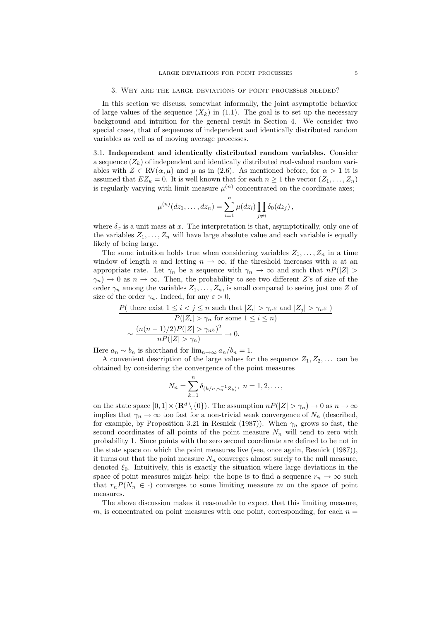In this section we discuss, somewhat informally, the joint asymptotic behavior of large values of the sequence  $(X_k)$  in (1.1). The goal is to set up the necessary background and intuition for the general result in Section 4. We consider two special cases, that of sequences of independent and identically distributed random variables as well as of moving average processes.

3.1. Independent and identically distributed random variables. Consider a sequence  $(Z_k)$  of independent and identically distributed real-valued random variables with  $Z \in \text{RV}(\alpha, \mu)$  and  $\mu$  as in (2.6). As mentioned before, for  $\alpha > 1$  it is assumed that  $EZ_k = 0$ . It is well known that for each  $n \geq 1$  the vector  $(Z_1, \ldots, Z_n)$ is regularly varying with limit measure  $\mu^{(n)}$  concentrated on the coordinate axes;

$$
\mu^{(n)}(dz_1,\ldots, dz_n)=\sum_{i=1}^n\mu(dz_i)\prod_{j\neq i}\delta_0(dz_j)\,,
$$

where  $\delta_x$  is a unit mass at x. The interpretation is that, asymptotically, only one of the variables  $Z_1, \ldots, Z_n$  will have large absolute value and each variable is equally likely of being large.

The same intuition holds true when considering variables  $Z_1, \ldots, Z_n$  in a time window of length n and letting  $n \to \infty$ , if the threshold increases with n at an appropriate rate. Let  $\gamma_n$  be a sequence with  $\gamma_n \to \infty$  and such that  $nP(|Z| >$  $\gamma_n$   $\rightarrow$  0 as  $n \rightarrow \infty$ . Then, the probability to see two different Z's of size of the order  $\gamma_n$  among the variables  $Z_1, \ldots, Z_n$ , is small compared to seeing just one Z of size of the order  $\gamma_n$ . Indeed, for any  $\varepsilon > 0$ ,

$$
\frac{P(\text{ there exist } 1 \le i < j \le n \text{ such that } |Z_i| > \gamma_n \varepsilon \text{ and } |Z_j| > \gamma_n \varepsilon)}{P(|Z_i| > \gamma_n \text{ for some } 1 \le i \le n)}
$$

$$
\sim \frac{(n(n-1)/2)P(|Z| > \gamma_n \varepsilon)^2}{nP(|Z| > \gamma_n)} \to 0.
$$

Here  $a_n \sim b_n$  is shorthand for  $\lim_{n \to \infty} a_n/b_n = 1$ .

A convenient description of the large values for the sequence  $Z_1, Z_2, \ldots$  can be obtained by considering the convergence of the point measures

$$
N_n = \sum_{k=1}^n \delta_{(k/n, \gamma_n^{-1}Z_k)}, \ n = 1, 2, \dots,
$$

on the state space  $[0,1] \times (\mathbf{R}^d \setminus \{0\})$ . The assumption  $nP(|Z| > \gamma_n) \to 0$  as  $n \to \infty$ implies that  $\gamma_n \to \infty$  too fast for a non-trivial weak convergence of  $N_n$  (described, for example, by Proposition 3.21 in Resnick (1987)). When  $\gamma_n$  grows so fast, the second coordinates of all points of the point measure  $N_n$  will tend to zero with probability 1. Since points with the zero second coordinate are defined to be not in the state space on which the point measures live (see, once again, Resnick (1987)), it turns out that the point measure  $N_n$  converges almost surely to the null measure, denoted  $\xi_0$ . Intuitively, this is exactly the situation where large deviations in the space of point measures might help: the hope is to find a sequence  $r_n \to \infty$  such that  $r_nP(N_n \in \cdot)$  converges to some limiting measure m on the space of point measures.

The above discussion makes it reasonable to expect that this limiting measure, m, is concentrated on point measures with one point, corresponding, for each  $n =$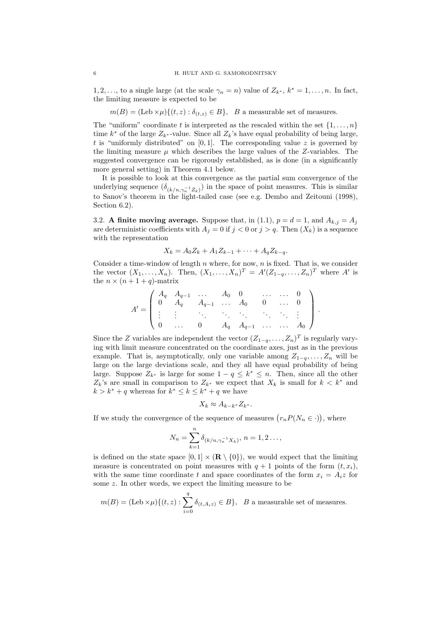1, 2, ..., to a single large (at the scale  $\gamma_n = n$ ) value of  $Z_{k^*}$ ,  $k^* = 1, \ldots, n$ . In fact, the limiting measure is expected to be

 $m(B) = (\text{Leb} \times \mu) \{(t, z) : \delta_{(t, z)} \in B\}$ , B a measurable set of measures.

The "uniform" coordinate t is interpreted as the rescaled within the set  $\{1, \ldots, n\}$ time  $k^*$  of the large  $Z_{k^*}$ -value. Since all  $Z_k$ 's have equal probability of being large, t is "uniformly distributed" on  $[0, 1]$ . The corresponding value z is governed by the limiting measure  $\mu$  which describes the large values of the Z-variables. The suggested convergence can be rigorously established, as is done (in a significantly more general setting) in Theorem 4.1 below.

It is possible to look at this convergence as the partial sum convergence of the underlying sequence  $(\delta_{(k/n,\gamma_n^{-1}Z_k)})$  in the space of point measures. This is similar to Sanov's theorem in the light-tailed case (see e.g. Dembo and Zeitouni (1998), Section  $6.2$ ).

3.2. A finite moving average. Suppose that, in (1.1),  $p = d = 1$ , and  $A_{k,j} = A_j$ are deterministic coefficients with  $A_j = 0$  if  $j < 0$  or  $j > q$ . Then  $(X_k)$  is a sequence with the representation

$$
X_k = A_0 Z_k + A_1 Z_{k-1} + \dots + A_q Z_{k-q}.
$$

Consider a time-window of length  $n$  where, for now,  $n$  is fixed. That is, we consider the vector  $(X_1, ..., X_n)$ . Then,  $(X_1, ..., X_n)^T = A'(Z_{1-q}, ..., Z_n)^T$  where A' is the  $n \times (n+1+q)$ -matrix

$$
A' = \begin{pmatrix} A_q & A_{q-1} & \dots & A_0 & 0 & \dots & \dots & 0 \\ 0 & A_q & A_{q-1} & \dots & A_0 & 0 & \dots & 0 \\ \vdots & \vdots & \ddots & \vdots & \ddots & \ddots & \vdots & \vdots \\ 0 & \dots & 0 & A_q & A_{q-1} & \dots & \dots & A_0 \end{pmatrix}
$$

.

Since the Z variables are independent the vector  $(Z_{1-q},..., Z_n)^T$  is regularly varying with limit measure concentrated on the coordinate axes, just as in the previous example. That is, asymptotically, only one variable among  $Z_{1-q}, \ldots, Z_n$  will be large on the large deviations scale, and they all have equal probability of being large. Suppose  $Z_{k^*}$  is large for some  $1 - q \leq k^* \leq n$ . Then, since all the other  $Z_k$ 's are small in comparison to  $Z_{k^*}$  we expect that  $X_k$  is small for  $k < k^*$  and  $k > k^* + q$  whereas for  $k^* \leq k \leq k^* + q$  we have

$$
X_k \approx A_{k-k^*} Z_{k^*}.
$$

If we study the convergence of the sequence of measures  $(r_n P(N_n \in \cdot))$ , where

$$
N_n = \sum_{k=1}^n \delta_{(k/n, \gamma_n^{-1}X_k)}, \, n = 1, 2 \dots,
$$

is defined on the state space  $[0,1] \times (\mathbf{R} \setminus \{0\})$ , we would expect that the limiting measure is concentrated on point measures with  $q + 1$  points of the form  $(t, x_i)$ , with the same time coordinate t and space coordinates of the form  $x_i = A_i z$  for some z. In other words, we expect the limiting measure to be

$$
m(B) = (\text{Leb} \times \mu) \{ (t, z) : \sum_{i=0}^{q} \delta_{(t, A_i z)} \in B \}, \quad B \text{ a measurable set of measures.}
$$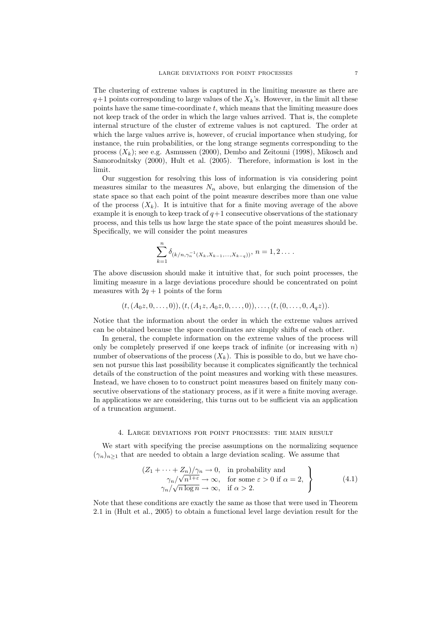The clustering of extreme values is captured in the limiting measure as there are  $q+1$  points corresponding to large values of the  $X_k$ 's. However, in the limit all these points have the same time-coordinate  $t$ , which means that the limiting measure does not keep track of the order in which the large values arrived. That is, the complete internal structure of the cluster of extreme values is not captured. The order at which the large values arrive is, however, of crucial importance when studying, for instance, the ruin probabilities, or the long strange segments corresponding to the process  $(X_k)$ ; see e.g. Asmussen (2000), Dembo and Zeitouni (1998), Mikosch and Samorodnitsky (2000), Hult et al. (2005). Therefore, information is lost in the limit.

Our suggestion for resolving this loss of information is via considering point measures similar to the measures  $N_n$  above, but enlarging the dimension of the state space so that each point of the point measure describes more than one value of the process  $(X_k)$ . It is intuitive that for a finite moving average of the above example it is enough to keep track of  $q+1$  consecutive observations of the stationary process, and this tells us how large the state space of the point measures should be. Specifically, we will consider the point measures

$$
\sum_{k=1}^{n} \delta_{(k/n,\gamma_n^{-1}(X_k,X_{k-1},...,X_{k-q}))},\, n=1,2\ldots.
$$

The above discussion should make it intuitive that, for such point processes, the limiting measure in a large deviations procedure should be concentrated on point measures with  $2q + 1$  points of the form

$$
(t, (A_0z, 0, \ldots, 0)), (t, (A_1z, A_0z, 0, \ldots, 0)), \ldots, (t, (0, \ldots, 0, A_qz)).
$$

Notice that the information about the order in which the extreme values arrived can be obtained because the space coordinates are simply shifts of each other.

In general, the complete information on the extreme values of the process will only be completely preserved if one keeps track of infinite (or increasing with  $n$ ) number of observations of the process  $(X_k)$ . This is possible to do, but we have chosen not pursue this last possibility because it complicates significantly the technical details of the construction of the point measures and working with these measures. Instead, we have chosen to to construct point measures based on finitely many consecutive observations of the stationary process, as if it were a finite moving average. In applications we are considering, this turns out to be sufficient via an application of a truncation argument.

### 4. Large deviations for point processes: the main result

We start with specifying the precise assumptions on the normalizing sequence  $(\gamma_n)_{n>1}$  that are needed to obtain a large deviation scaling. We assume that

$$
\left\{\n\begin{array}{l}\n(Z_1 + \cdots + Z_n)/\gamma_n \to 0, \quad \text{in probability and} \\
\gamma_n/\sqrt{n^{1+\epsilon}} \to \infty, \quad \text{for some } \epsilon > 0 \text{ if } \alpha = 2, \\
\gamma_n/\sqrt{n \log n} \to \infty, \quad \text{if } \alpha > 2.\n\end{array}\n\right\}\n\tag{4.1}
$$

Note that these conditions are exactly the same as those that were used in Theorem 2.1 in (Hult et al., 2005) to obtain a functional level large deviation result for the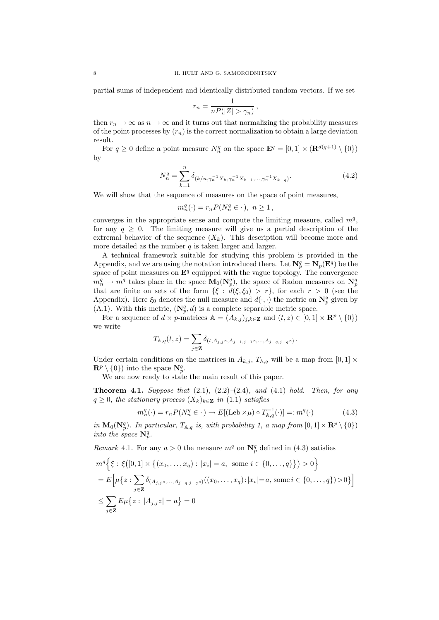partial sums of independent and identically distributed random vectors. If we set

$$
r_n = \frac{1}{nP(|Z| > \gamma_n)},
$$

then  $r_n \to \infty$  as  $n \to \infty$  and it turns out that normalizing the probability measures of the point processes by  $(r_n)$  is the correct normalization to obtain a large deviation result.

For  $q \geq 0$  define a point measure  $N_n^q$  on the space  $\mathbf{E}^q = [0,1] \times (\mathbf{R}^{d(q+1)} \setminus \{0\})$ by

$$
N_n^q = \sum_{k=1}^n \delta_{(k/n, \gamma_n^{-1} X_k, \gamma_n^{-1} X_{k-1}, \dots, \gamma_n^{-1} X_{k-q})}.
$$
\n(4.2)

We will show that the sequence of measures on the space of point measures,

$$
m_n^q(\cdot) = r_n P(N_n^q \in \cdot), \ n \ge 1,
$$

converges in the appropriate sense and compute the limiting measure, called  $m<sup>q</sup>$ , for any  $q \geq 0$ . The limiting measure will give us a partial description of the extremal behavior of the sequence  $(X_k)$ . This description will become more and more detailed as the number  $q$  is taken larger and larger.

A technical framework suitable for studying this problem is provided in the Appendix, and we are using the notation introduced there. Let  $N_p^q = N_p(E^q)$  be the space of point measures on  $\mathbf{E}^q$  equipped with the vague topology. The convergence  $m_n^q \to m^q$  takes place in the space  $\mathbf{M}_0(\mathbf{N}_p^q)$ , the space of Radon measures on  $\mathbf{N}_p^q$ that are finite on sets of the form  $\{\xi : d(\xi, \xi_0) > r\}$ , for each  $r > 0$  (see the Appendix). Here  $\xi_0$  denotes the null measure and  $d(\cdot, \cdot)$  the metric on  $\mathbb{N}_p^q$  given by (A.1). With this metric,  $(\mathbf{N}_p^q, d)$  is a complete separable metric space.

For a sequence of  $d \times p$ -matrices  $\mathbb{A} = (A_{k,j})_{j,k \in \mathbb{Z}}$  and  $(t, z) \in [0, 1] \times \mathbb{R}^p \setminus \{0\}$ we write

$$
T_{\mathbb{A},q}(t,z) = \sum_{j \in \mathbf{Z}} \delta_{(t,A_{j,j}z,A_{j-1,j-1}z,\ldots,A_{j-q,j-q}z)}.
$$

Under certain conditions on the matrices in  $A_{k,i}$ ,  $T_{\mathbb{A},q}$  will be a map from  $[0,1] \times$  $\mathbf{R}^p \setminus \{0\}$  into the space  $\mathbf{N}_p^q$ .

We are now ready to state the main result of this paper.

**Theorem 4.1.** Suppose that  $(2.1)$ ,  $(2.2)$ – $(2.4)$ , and  $(4.1)$  hold. Then, for any  $q \geq 0$ , the stationary process  $(X_k)_{k \in \mathbf{Z}}$  in (1.1) satisfies

$$
m_n^q(\cdot) = r_n P(N_n^q \in \cdot) \to E[(\text{Leb} \times \mu) \circ T_{\mathbb{A},q}^{-1}(\cdot)] =: m^q(\cdot)
$$
 (4.3)

in  $\mathbf{M}_0(\mathbf{N}_p^q)$ . In particular,  $T_{\mathbb{A},q}$  is, with probability 1, a map from  $[0,1] \times \mathbf{R}^p \setminus \{0\}$ into the space  $\mathbf{N}_p^q$ .

Remark 4.1. For any  $a > 0$  the measure  $m<sup>q</sup>$  on  $\mathbb{N}_{p}^{q}$  defined in (4.3) satisfies

$$
m^{q} \Big\{ \xi : \xi([0,1] \times \big\{ (x_{0},...,x_{q}) : |x_{i}| = a, \text{ some } i \in \{0,...,q\} \big\} \Big) > 0 \Big\}
$$
  
=  $E \Big[ \mu \big\{ z : \sum_{j \in \mathbf{Z}} \delta_{(A_{j,j}z,...,A_{j-q,j-q}z)}((x_{0},...,x_{q}):|x_{i}| = a, \text{ some } i \in \{0,...,q\}) > 0 \big\} \Big]$   
 $\leq \sum_{j \in \mathbf{Z}} E \mu \big\{ z : |A_{j,j}z| = a \big\} = 0$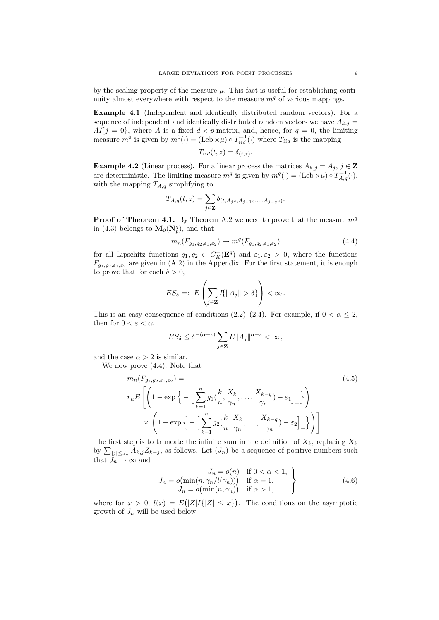by the scaling property of the measure  $\mu$ . This fact is useful for establishing continuity almost everywhere with respect to the measure  $m<sup>q</sup>$  of various mappings.

Example 4.1 (Independent and identically distributed random vectors). For a sequence of independent and identically distributed random vectors we have  $A_{k,j} =$  $AI{j = 0}$ , where A is a fixed  $d \times p$ -matrix, and, hence, for  $q = 0$ , the limiting measure  $m^0$  is given by  $m^0(\cdot) = (\text{Leb} \times \mu) \circ T_{iid}^{-1}(\cdot)$  where  $T_{iid}$  is the mapping

$$
T_{iid}(t, z) = \delta_{(t, z)}
$$

.

**Example 4.2** (Linear process). For a linear process the matrices  $A_{k,j} = A_j$ ,  $j \in \mathbb{Z}$ are deterministic. The limiting measure  $m^q$  is given by  $m^q(\cdot) = (\text{Leb} \times \mu) \circ T_{A,q}^{-1}(\cdot),$ with the mapping  $T_{A,q}$  simplifying to

$$
T_{A,q}(t,z) = \sum_{j \in \mathbf{Z}} \delta_{(t,A_jz,A_{j-1}z,\ldots,A_{j-q}z)}.
$$

**Proof of Theorem 4.1.** By Theorem A.2 we need to prove that the measure  $m<sup>q</sup>$ in (4.3) belongs to  $\mathbf{M}_0(\mathbf{N}_p^q)$ , and that

$$
m_n(F_{g_1,g_2,\varepsilon_1,\varepsilon_2}) \to m^q(F_{g_1,g_2,\varepsilon_1,\varepsilon_2})
$$
\n
$$
(4.4)
$$

for all Lipschitz functions  $g_1, g_2 \in C_K^+(\mathbf{E}^q)$  and  $\varepsilon_1, \varepsilon_2 > 0$ , where the functions  $F_{g_1,g_2,\epsilon_1,\epsilon_2}$  are given in (A.2) in the Appendix. For the first statement, it is enough to prove that for each  $\delta > 0$ ,

$$
ES_{\delta} =: E\left(\sum_{j\in\mathbf{Z}} I\{\|A_j\| > \delta\}\right) < \infty.
$$

This is an easy consequence of conditions (2.2)–(2.4). For example, if  $0 < \alpha \leq 2$ , then for  $0 < \varepsilon < \alpha$ ,

$$
E S_\delta \leq \delta^{-(\alpha-\varepsilon)} \sum_{j\in{\bf Z}} E\|A_j\|^{\alpha-\varepsilon} <\infty\,,
$$

and the case  $\alpha > 2$  is similar.

We now prove (4.4). Note that

$$
m_n(F_{g_1,g_2,\varepsilon_1,\varepsilon_2}) =
$$
\n
$$
r_n E\left[\left(1 - \exp\left\{-\left[\sum_{k=1}^n g_1(\frac{k}{n}, \frac{X_k}{\gamma_n}, \dots, \frac{X_{k-q}}{\gamma_n}) - \varepsilon_1\right]_+\right\}\right)\right]
$$
\n
$$
\times \left(1 - \exp\left\{-\left[\sum_{k=1}^n g_2(\frac{k}{n}, \frac{X_k}{\gamma_n}, \dots, \frac{X_{k-q}}{\gamma_n}) - \varepsilon_2\right]_+\right\}\right)\right].
$$
\n(4.5)

The first step is to truncate the infinite sum in the definition of  $X_k$ , replacing  $X_k$ by  $\sum_{|j| \le J_n} A_{k,j} Z_{k-j}$ , as follows. Let  $(J_n)$  be a sequence of positive numbers such that  $J_n \to \infty$  and

$$
J_n = o(n) \quad \text{if } 0 < \alpha < 1, \\
J_n = o(\min(n, \gamma_n / l(\gamma_n))) \quad \text{if } \alpha = 1, \\
J_n = o(\min(n, \gamma_n)) \quad \text{if } \alpha > 1,\n\tag{4.6}
$$

where for  $x > 0$ ,  $l(x) = E(|Z|I{|Z| \leq x})$ . The conditions on the asymptotic growth of  $J_n$  will be used below.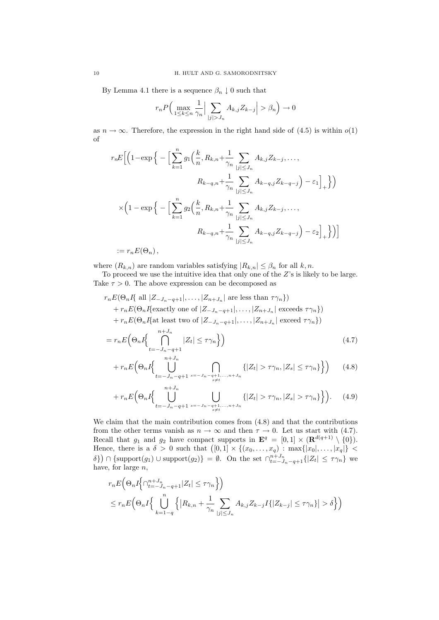By Lemma 4.1 there is a sequence  $\beta_n \downarrow 0$  such that

$$
r_n P\left(\max_{1\leq k\leq n}\frac{1}{\gamma_n}\Big|\sum_{|j|>J_n}A_{k,j}Z_{k-j}\Big|>\beta_n\right)\to 0
$$

as  $n \to \infty$ . Therefore, the expression in the right hand side of (4.5) is within  $o(1)$ of

$$
r_n E\Big[\Big(1-\exp\Big\{-\Big[\sum_{k=1}^n g_1\Big(\frac{k}{n}, R_{k,n} + \frac{1}{\gamma_n} \sum_{|j| \le J_n} A_{k,j} Z_{k-j}, \dots, \Big.\right. \\ \left. R_{k-q,n} + \frac{1}{\gamma_n} \sum_{|j| \le J_n} A_{k-q,j} Z_{k-q-j} \Big) - \varepsilon_1 \Big]_+\Big\}\Big)\Big]
$$
  

$$
\times \Big(1 - \exp\Big\{-\Big[\sum_{k=1}^n g_2\Big(\frac{k}{n}, R_{k,n} + \frac{1}{\gamma_n} \sum_{|j| \le J_n} A_{k,j} Z_{k-j}, \dots, \Big.\right. \\ \left. R_{k-q,n} + \frac{1}{\gamma_n} \sum_{|j| \le J_n} A_{k-q,j} Z_{k-q-j} \Big) - \varepsilon_2 \Big]_+\Big\}\Big)\Big]
$$

 $:= r_n E(\Theta_n),$ 

where  $(R_{k,n})$  are random variables satisfying  $|R_{k,n}| \leq \beta_n$  for all  $k, n$ .

To proceed we use the intuitive idea that only one of the Z's is likely to be large. Take  $\tau > 0$ . The above expression can be decomposed as

$$
r_n E(\Theta_n I\{\text{ all } |Z_{-J_n-q+1}|, \ldots, |Z_{n+J_n}| \text{ are less than } \tau \gamma_n\})
$$
  
+ 
$$
r_n E(\Theta_n I\{\text{exactly one of } |Z_{-J_n-q+1}|, \ldots, |Z_{n+J_n}| \text{ exceeds } \tau \gamma_n\})
$$
  
+ 
$$
r_n E(\Theta_n I\{\text{at least two of } |Z_{-J_n-q+1}|, \ldots, |Z_{n+J_n}| \text{ exceed } \tau \gamma_n\})
$$
  
= 
$$
r_n E(\Theta_n I\{\bigcap_{k=1}^{n+J_n} |Z_k| \leq \tau \gamma_n\})
$$
(4.7)

$$
= r_n E\left(\Theta_n I\right\{\prod_{t=-J_n-q+1}^{\infty} |Z_t| \leq \tau \gamma_n\} \right)
$$
\n
$$
+ r_n E\left(\Theta_n I\right\{\prod_{t=-J_n-q+1}^{n+J_n} \bigcap_{t=J_n}^{\infty} \{ |Z_t| > \tau \gamma_n, |Z_s| \leq \tau \gamma_n\} \} \right)
$$
\n
$$
(4.8)
$$

$$
{}_{i}E\left(\Theta_{n}I\left\{\bigcup_{t=-J_{n}-q+1} \bigcap_{s=-J_{n}-q+1,\ldots,n+J_{n}}\{|Z_{t}|>\tau\gamma_{n},|Z_{s}|\leq\tau\gamma_{n}\}\right\}\right)
$$
(4.8)

$$
+ r_n E\Big(\Theta_n I \Big\{ \bigcup_{t=-J_n-q+1}^{n+J_n} \bigcup_{\substack{s=-J_n-q+1,\dots,n+J_n\\s\neq t}} \{|Z_t| > \tau \gamma_n, |Z_s| > \tau \gamma_n\} \Big\} \Big). \tag{4.9}
$$

We claim that the main contribution comes from (4.8) and that the contributions from the other terms vanish as  $n \to \infty$  and then  $\tau \to 0$ . Let us start with (4.7). Recall that  $g_1$  and  $g_2$  have compact supports in  $\mathbf{E}^q = [0,1] \times (\mathbf{R}^{d(q+1)} \setminus \{0\}).$ Hence, there is a  $\delta > 0$  such that  $([0,1] \times \{(x_0,\ldots,x_q) : \max\{|x_0|,\ldots,|x_q|\}$  $\delta$ )  $\cap$  {support(g<sub>1</sub>) ∪ support(g<sub>2</sub>)} =  $\emptyset$ . On the set  $\bigcap_{t=-J_n-q+1}^{n+J_n}$  { $|Z_t| \leq \tau \gamma_n$ } we have, for large  $n$ ,

$$
r_n E\Big(\Theta_n I\Big\{\cap_{t=-J_n-q+1}^{n+J_n}|Z_t|\leq \tau\gamma_n\Big\}\Big)
$$
  

$$
\leq r_n E\Big(\Theta_n I\Big\{\bigcup_{k=1-q}^n\Big\{|R_{k,n}+\frac{1}{\gamma_n}\sum_{|j|\leq J_n}A_{k,j}Z_{k-j}I\{|Z_{k-j}|\leq \tau\gamma_n\}|\Big>\delta\Big\}\Big)
$$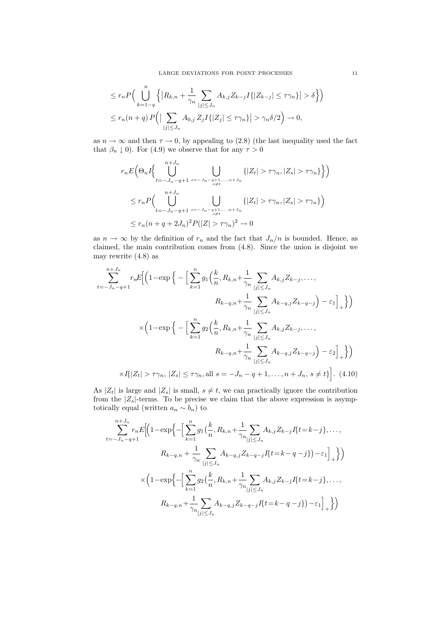$$
\leq r_n P\Big(\bigcup_{k=1-q}^n \Big\{\Big|R_{k,n} + \frac{1}{\gamma_n} \sum_{|j| \leq J_n} A_{k,j} Z_{k-j} I\{|Z_{k-j}| \leq \tau \gamma_n\}\Big| > \delta\Big\}\Big)
$$
  

$$
\leq r_n(n+q) P\Big(\Big|\sum_{|j| \leq J_n} A_{0,j} Z_j I\{|Z_j| \leq \tau \gamma_n\}\Big| > \gamma_n \delta/2\Big) \to 0,
$$

as  $n \to \infty$  and then  $\tau \to 0$ , by appealing to (2.8) (the last inequality used the fact that  $\beta_n \downarrow 0$ ). For (4.9) we observe that for any  $\tau > 0$ 

$$
r_n E\left(\Theta_n I\left\{\bigcup_{t=-J_n-q+1}^{n+J_n} \bigcup_{s=J_n-q+1,\ldots,n+J_n} \{|Z_t| > \tau \gamma_n, |Z_s| > \tau \gamma_n\}\right\}\right)
$$
  

$$
\leq r_n P\left(\bigcup_{t=-J_n-q+1}^{n+J_n} \bigcup_{s=J_n-q+1,\ldots,n+J_n} \{|Z_t| > \tau \gamma_n, |Z_s| > \tau \gamma_n\}\right)
$$
  

$$
\leq r_n (n+q+2J_n)^2 P(|Z| > \tau \gamma_n)^2 \to 0
$$

as  $n \to \infty$  by the definition of  $r_n$  and the fact that  $J_n/n$  is bounded. Hence, as claimed, the main contribution comes from (4.8). Since the union is disjoint we may rewrite (4.8) as

$$
\sum_{t=-J_n-q+1}^{n+J_n} r_n E\Big[ \Big(1 - \exp\Big\{ - \Big[ \sum_{k=1}^n g_1\Big(\frac{k}{n}, R_{k,n} + \frac{1}{\gamma_n} \sum_{|j| \le J_n} A_{k,j} Z_{k-j}, \dots, \Big] \Big\}
$$

$$
R_{k-q,n} + \frac{1}{\gamma_n} \sum_{|j| \le J_n} A_{k-q,j} Z_{k-q-j} \Big) - \varepsilon_1 \Big]_+\Big\} \Big)
$$

$$
\times \Big(1 - \exp\Big\{ - \Big[ \sum_{k=1}^n g_2\Big(\frac{k}{n}, R_{k,n} + \frac{1}{\gamma_n} \sum_{|j| \le J_n} A_{k,j} Z_{k-j}, \dots, \Big] \Big\}
$$

$$
R_{k-q,n} + \frac{1}{\gamma_n} \sum_{|j| \le J_n} A_{k-q,j} Z_{k-q-j} \Big) - \varepsilon_2 \Big]_+\Big\} \Big)
$$

$$
\times I\{ |Z_t| > \tau \gamma_n, |Z_s| \le \tau \gamma_n, \text{all } s = -J_n - q + 1, \dots, n + J_n, s \ne t \} \Big]. \tag{4.10}
$$

As  $|Z_t|$  is large and  $|Z_s|$  is small,  $s \neq t$ , we can practically ignore the contribution from the  $|Z_s|$ -terms. To be precise we claim that the above expression is asymptotically equal (written  $a_n \sim b_n$ ) to

$$
\sum_{t=-J_n-q+1}^{n+J_n} r_n E \Biggl[ \Biggl( 1 - \exp \Biggl\{ - \Biggl[ \sum_{k=1}^n g_1 \Bigl( \frac{k}{n}, R_{k,n} + \frac{1}{\gamma_n} \Biggl] \sum_{|j| \le J_n} A_{k,j} Z_{k-j} I \Biggl\{ t = k - j \Biggr\}, \dots, \nR_{k-q,n} + \frac{1}{\gamma_n} \sum_{|j| \le J_n} A_{k-q,j} Z_{k-q-j} I \Biggl\{ t = k - q - j \Biggr\} \Biggr) - \varepsilon_1 \Biggr]_+ \Biggr\} \Biggr) \n\times \Biggl( 1 - \exp \Biggl\{ - \Biggl[ \sum_{k=1}^n g_2 \Bigl( \frac{k}{n}, R_{k,n} + \frac{1}{\gamma_n} \Biggr] \sum_{|j| \le J_n} A_{k,j} Z_{k-j} I \Biggl\{ t = k - j \Biggr\}, \dots, \nR_{k-q,n} + \frac{1}{\gamma_n} \sum_{|j| \le J_n} A_{k-q,j} Z_{k-q-j} I \Biggl\{ t = k - q - j \Biggr\} \Biggr) - \varepsilon_1 \Biggr]_+ \Biggr\} \Biggr)
$$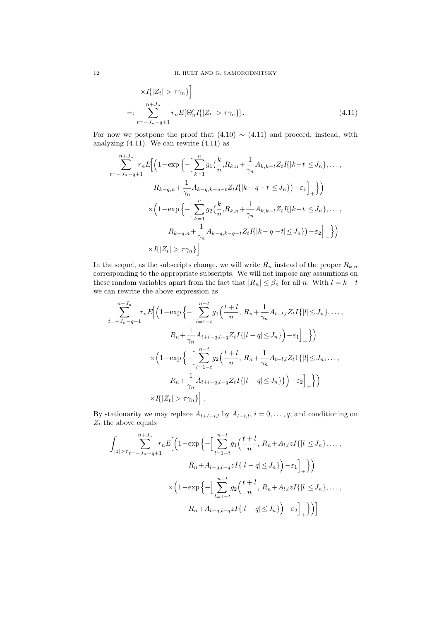$$
\times I\{|Z_t| > \tau \gamma_n\}\bigg]
$$
  
=: 
$$
\sum_{t=-J_n-q+1}^{n+J_n} r_n E[\Theta'_n I\{|Z_t| > \tau \gamma_n\}].
$$
 (4.11)

For now we postpone the proof that  $(4.10) \sim (4.11)$  and proceed, instead, with analyzing  $(4.11)$ . We can rewrite  $(4.11)$  as

$$
\sum_{t=-J_n-q+1}^{n+J_n} r_n E\Big[\Big(1-\exp\Big\{-\Big[\sum_{k=1}^n g_1(\frac{k}{n}, R_{k,n} + \frac{1}{\gamma_n} A_{k,k-t} Z_t I\{|k-t| \leq J_n\}, \dots, \Big] \Big]
$$
  
\n
$$
R_{k-q,n} + \frac{1}{\gamma_n} A_{k-q,k-q-t} Z_t I\{|k-q-t| \leq J_n\} - \varepsilon_1\Big]_+\Big\}\Big)
$$
  
\n
$$
\times \Big(1-\exp\Big\{-\Big[\sum_{k=1}^n g_2(\frac{k}{n}, R_{k,n} + \frac{1}{\gamma_n} A_{k,k-t} Z_t I\{|k-t| \leq J_n\}, \dots, \Big] \Big]
$$
  
\n
$$
R_{k-q,n} + \frac{1}{\gamma_n} A_{k-q,k-q-t} Z_t I\{|k-q-t| \leq J_n\} - \varepsilon_2\Big]_+\Big\}\Big)
$$
  
\n
$$
\times I\{|Z_t| > \tau \gamma_n\}\Big]
$$

In the sequel, as the subscripts change, we will write  $R_n$  instead of the proper  $R_{k,n}$ corresponding to the appropriate subscripts. We will not impose any assumtions on these random variables apart from the fact that  $|R_n| \leq \beta_n$  for all n. With  $l = k - t$ we can rewrite the above expression as

$$
\sum_{t=-J_n-q+1}^{n+J_n} r_n E\Biggl[ \Biggl(1-\exp\Biggl\{-\Biggl[\sum_{l=1-t}^{n-t} g_1\Biggl(\frac{t+l}{n}, R_n+\frac{1}{\gamma_n} A_{t+l,l} Z_t I\{|l|\leq J_n\},\ldots, \\ R_n+\frac{1}{\gamma_n} A_{t+l-q,l-q} Z_t I\{|l-q|\leq J_n\}\Biggr)-\varepsilon_1\Biggr]_+\Biggr\}\Biggr)
$$
  

$$
\times \Biggl(1-\exp\Biggl\{-\Biggl[\sum_{l=1-t}^{n-t} g_2\Biggl(\frac{t+l}{n}, R_n+\frac{1}{\gamma_n} A_{t+l,l} Z_t 1\{|l|\leq J_n,\ldots,\\ R_n+\frac{1}{\gamma_n} A_{t+l-q,l-q} Z_t I\{|l-q|\leq J_n\}\}\Biggr)-\varepsilon_2\Biggr]_+\Biggr\}\Biggr)
$$
  

$$
\times I\{|Z_t|>\tau\gamma_n\}\Biggr].
$$

By stationarity we may replace  $A_{t+l-i,l}$  by  $A_{l-i,l}$ ,  $i = 0, \ldots, q$ , and conditioning on  $Z_t$  the above equals

$$
\int_{|z|>\tau} \sum_{t=-J_n-q+1}^{n+J_n} r_n E\Big[\Big(1-\exp\Big\{-\Big[\sum_{l=1-t}^{n-t} g_1\Big(\frac{t+l}{n}, R_n+A_{l,l}zI\{|l|\leq J_n\},\ldots, \nR_n+A_{l-q,l-q}zI\{|l-q|\leq J_n\}\Big)-\varepsilon_1\Big]_+\Big\}\Big) \n\times\Big(1-\exp\Big\{-\Big[\sum_{l=1-t}^{n-t} g_2\Big(\frac{t+l}{n}, R_n+A_{l,l}zI\{|l|\leq J_n\},\ldots, \nR_n+A_{l-q,l-q}zI\{|l-q|\leq J_n\}\Big)-\varepsilon_2\Big]_+\Big\}\Big)\Big]
$$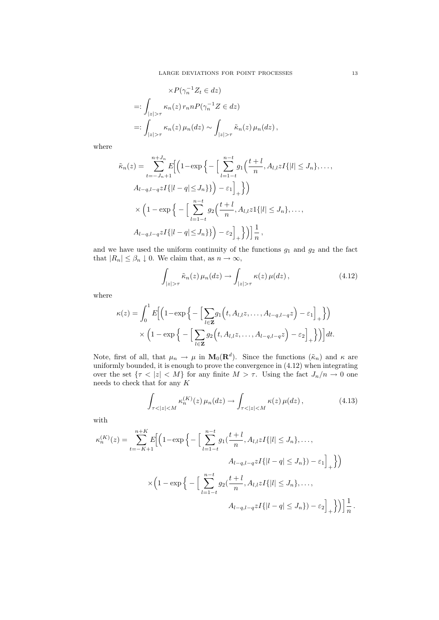$$
\times P(\gamma_n^{-1} Z_t \in dz)
$$
  
=: 
$$
\int_{|z| > \tau} \kappa_n(z) r_n n P(\gamma_n^{-1} Z \in dz)
$$
  
=: 
$$
\int_{|z| > \tau} \kappa_n(z) \mu_n(dz) \sim \int_{|z| > \tau} \tilde{\kappa}_n(z) \mu_n(dz),
$$

where

$$
\tilde{\kappa}_n(z) = \sum_{t=-J_n+1}^{n+J_n} E\Big[ \Big( 1 - \exp\Big\{ - \Big[ \sum_{l=1-t}^{n-t} g_1\Big(\frac{t+l}{n}, A_{l,l} z I\{|l| \le J_n\}, \dots, \\ A_{l-q,l-q} z I\{|l-q| \le J_n\} \Big) - \varepsilon_1 \Big]_+\Big\} \Big)
$$
  

$$
\times \Big( 1 - \exp\Big\{ - \Big[ \sum_{l=1-t}^{n-t} g_2\Big(\frac{t+l}{n}, A_{l,l} z I\{|l| \le J_n\}, \dots, \\ A_{l-q,l-q} z I\{|l-q| \le J_n\} \Big) - \varepsilon_2 \Big]_+\Big\} \Big) \Big] \frac{1}{n},
$$

and we have used the uniform continuity of the functions  $g_1$  and  $g_2$  and the fact that  $|R_n| \leq \beta_n \downarrow 0$ . We claim that, as  $n \to \infty$ ,

$$
\int_{|z|>\tau} \tilde{\kappa}_n(z) \,\mu_n(dz) \to \int_{|z|>\tau} \kappa(z) \,\mu(dz) \,, \tag{4.12}
$$

where

$$
\kappa(z) = \int_0^1 E\Big[ \Big(1 - \exp\Big\{-\Big[\sum_{l \in \mathbf{Z}} g_1\Big(t, A_{l,l}z, \dots, A_{l-q,l-q}z\Big) - \varepsilon_1\Big]_+\Big\}\Big) \\ \times \Big(1 - \exp\Big\{-\Big[\sum_{l \in \mathbf{Z}} g_2\Big(t, A_{l,l}z, \dots, A_{l-q,l-q}z\Big) - \varepsilon_2\Big]_+\Big\}\Big)\Big] dt.
$$

Note, first of all, that  $\mu_n \to \mu$  in  $M_0(\mathbf{R}^d)$ . Since the functions  $(\tilde{\kappa}_n)$  and  $\kappa$  are uniformly bounded, it is enough to prove the convergence in (4.12) when integrating over the set  $\{\tau \langle |z| < M\}$  for any finite  $M > \tau$ . Using the fact  $J_n/n \to 0$  one needs to check that for any K

$$
\int_{\tau < |z| < M} \kappa_n^{(K)}(z) \,\mu_n(dz) \to \int_{\tau < |z| < M} \kappa(z) \,\mu(dz) \,,\tag{4.13}
$$

with

$$
\kappa_n^{(K)}(z) = \sum_{t=-K+1}^{n+K} E\Big[ \Big( 1 - \exp\Big\{ - \Big[ \sum_{l=1-t}^{n-t} g_1(\frac{t+l}{n}, A_{l,l} z I\{|l| \le J_n\}, \dots, \\ A_{l-q,l-q} z I\{|l-q| \le J_n\} ) - \varepsilon_1 \Big]_+ \Big\} \Big)
$$
  

$$
\times \Big( 1 - \exp\Big\{ - \Big[ \sum_{l=1-t}^{n-t} g_2(\frac{t+l}{n}, A_{l,l} z I\{|l| \le J_n\}, \dots, \\ A_{l-q,l-q} z I\{|l-q| \le J_n\} ) - \varepsilon_2 \Big]_+ \Big\} \Big) \Big] \frac{1}{n} \, .
$$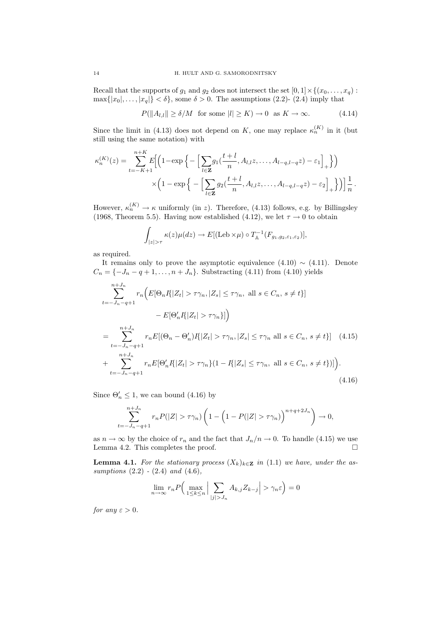Recall that the supports of  $g_1$  and  $g_2$  does not intersect the set  $[0, 1] \times \{(x_0, \ldots, x_q)$ :  $\max\{|x_0|,\ldots,|x_q|\}<\delta\}$ , some  $\delta>0$ . The assumptions (2.2)- (2.4) imply that

$$
P(||A_{l,l}|| \ge \delta/M \text{ for some } |l| \ge K) \to 0 \text{ as } K \to \infty. \tag{4.14}
$$

Since the limit in (4.13) does not depend on K, one may replace  $\kappa_n^{(K)}$  in it (but still using the same notation) with

$$
\kappa_n^{(K)}(z) = \sum_{t=-K+1}^{n+K} E\Biggl[\Bigl(1-\exp\Biggl\{-\Bigl[\sum_{l\in\mathbf{Z}} g_1(\frac{t+l}{n}, A_{l,l}z, \dots, A_{l-q,l-q}z) - \varepsilon_1\Bigr]_+\Bigr\}\Bigr) \times \Biggl(1-\exp\Biggl\{-\Bigl[\sum_{l\in\mathbf{Z}} g_2(\frac{t+l}{n}, A_{l,l}z, \dots, A_{l-q,l-q}z) - \varepsilon_2\Bigr]_+\Bigr\}\Bigr)\Biggr]\frac{1}{n}.
$$

However,  $\kappa_n^{(K)} \to \kappa$  uniformly (in z). Therefore, (4.13) follows, e.g. by Billingsley (1968, Theorem 5.5). Having now established (4.12), we let  $\tau \to 0$  to obtain

$$
\int_{|z|>\tau} \kappa(z)\mu(dz) \to E[(\text{Leb}\times\mu) \circ T_{\mathbb{A}}^{-1}(F_{g_1,g_2,\varepsilon_1,\varepsilon_2})],
$$

as required.

It remains only to prove the asymptotic equivalence  $(4.10) \sim (4.11)$ . Denote  $C_n = \{-J_n - q + 1, \ldots, n + J_n\}$ . Substracting (4.11) from (4.10) yields

$$
\sum_{t=-J_n-q+1}^{n+J_n} r_n \Big( E[\Theta_n I\{ |Z_t| > \tau \gamma_n, |Z_s| \le \tau \gamma_n, \text{ all } s \in C_n, s \ne t \}]
$$
  
\n
$$
- E[\Theta'_n I\{ |Z_t| > \tau \gamma_n \}] \Big)
$$
  
\n
$$
= \sum_{t=-J_n-q+1}^{n+J_n} r_n E[(\Theta_n - \Theta'_n)I\{ |Z_t| > \tau \gamma_n, |Z_s| \le \tau \gamma_n \text{ all } s \in C_n, s \ne t \}] \quad (4.15)
$$
  
\n
$$
+ \sum_{t=-J_n-q+1}^{n+J_n} r_n E[\Theta'_n I\{ |Z_t| > \tau \gamma_n \} (1 - I\{ |Z_s| \le \tau \gamma_n, \text{ all } s \in C_n, s \ne t \} ) ] \Big).
$$
  
\n(4.16)

Since  $\Theta'_n \leq 1$ , we can bound (4.16) by

$$
\sum_{t=-J_n-q+1}^{n+J_n} r_n P(|Z| > \tau \gamma_n) \left(1 - \left(1 - P(|Z| > \tau \gamma_n)\right)^{n+q+2J_n}\right) \to 0,
$$

as  $n \to \infty$  by the choice of  $r_n$  and the fact that  $J_n/n \to 0$ . To handle (4.15) we use Lemma 4.2. This completes the proof.  $\Box$ 

**Lemma 4.1.** For the stationary process  $(X_k)_{k\in\mathbb{Z}}$  in (1.1) we have, under the assumptions  $(2.2)$  -  $(2.4)$  and  $(4.6)$ ,

$$
\lim_{n \to \infty} r_n P\Big(\max_{1 \le k \le n} \Big| \sum_{|j| > J_n} A_{k,j} Z_{k-j} \Big| > \gamma_n \varepsilon \Big) = 0
$$

for any  $\varepsilon > 0$ .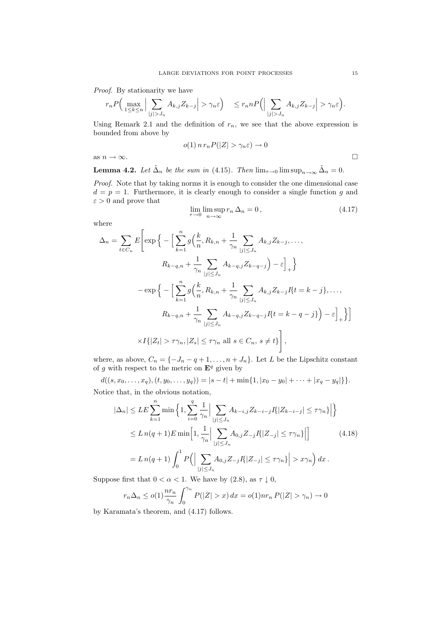Proof. By stationarity we have

$$
r_n P\Big(\max_{1\leq k\leq n}\Big|\sum_{|j|>J_n}A_{k,j}Z_{k-j}\Big|>\gamma_n\varepsilon\Big)\quad\leq r_n n P\Big(\Big|\sum_{|j|>J_n}A_{k,j}Z_{k-j}\Big|>\gamma_n\varepsilon\Big).
$$

Using Remark 2.1 and the definition of  $r_n$ , we see that the above expression is bounded from above by

$$
o(1) n r_n P(|Z| > \gamma_n \varepsilon) \to 0
$$

as  $n \to \infty$ .

**Lemma 4.2.** Let  $\tilde{\Delta}_n$  be the sum in (4.15). Then  $\lim_{\tau \to 0} \limsup_{n \to \infty} \tilde{\Delta}_n = 0$ .

Proof. Note that by taking norms it is enough to consider the one dimensional case  $d = p = 1$ . Furthermore, it is clearly enough to consider a single function g and  $\varepsilon > 0$  and prove that

$$
\lim_{\tau \to 0} \limsup_{n \to \infty} r_n \Delta_n = 0, \tag{4.17}
$$

where

$$
\Delta_n = \sum_{t \in C_n} E\left[\exp\left\{-\left[\sum_{k=1}^n g\left(\frac{k}{n}, R_{k,n} + \frac{1}{\gamma_n} \sum_{|j| \le J_n} A_{k,j} Z_{k-j}, \dots, \right.\right.\right.\right.
$$

$$
R_{k-q,n} + \frac{1}{\gamma_n} \sum_{|j| \le J_n} A_{k-q,j} Z_{k-q-j}\right) - \varepsilon\Big]_+\right\}
$$

$$
-\exp\left\{-\left[\sum_{k=1}^n g\left(\frac{k}{n}, R_{k,n} + \frac{1}{\gamma_n} \sum_{|j| \le J_n} A_{k,j} Z_{k-j} I\{t = k-j\}, \dots, \right.\right.
$$

$$
R_{k-q,n} + \frac{1}{\gamma_n} \sum_{|j| \le J_n} A_{k-q,j} Z_{k-q-j} I\{t = k-q-j\}\right) - \varepsilon\Big]_+\right\}\Big]
$$

$$
\times I\{|Z_t| > \tau \gamma_n, |Z_s| \le \tau \gamma_n \text{ all } s \in C_n, s \ne t\}\Bigg],
$$

where, as above,  $C_n = \{-J_n - q + 1, \ldots, n + J_n\}$ . Let L be the Lipschitz constant of g with respect to the metric on  $\mathbf{E}^q$  given by

 $d((s, x_0, \ldots, x_q), (t, y_0, \ldots, y_q)) = |s - t| + \min\{1, |x_0 - y_0| + \cdots + |x_q - y_q|\}\}.$ Notice that, in the obvious notation,

$$
|\Delta_n| \leq LE \sum_{k=1}^n \min \left\{ 1, \sum_{i=0}^q \frac{1}{\gamma_n} \Big| \sum_{|j| \leq J_n} A_{k-i,j} Z_{k-i-j} I\{|Z_{k-i-j}| \leq \tau \gamma_n\} \Big| \right\}
$$
  
\n
$$
\leq L n(q+1) E \min \left[ 1, \frac{1}{\gamma_n} \Big| \sum_{|j| \leq J_n} A_{0,j} Z_{-j} I\{|Z_{-j}| \leq \tau \gamma_n\} \Big| \right] \qquad (4.18)
$$
  
\n
$$
= L n(q+1) \int_0^1 P\Big( \Big| \sum_{|j| \leq J_n} A_{0,j} Z_{-j} I\{|Z_{-j}| \leq \tau \gamma_n\} \Big| > x \gamma_n \Big) dx.
$$

Suppose first that  $0 < \alpha < 1$ . We have by (2.8), as  $\tau \downarrow 0$ ,

$$
r_n \Delta_n \le o(1) \frac{nr_n}{\gamma_n} \int_0^{\gamma_n} P(|Z| > x) dx = o(1) nr_n P(|Z| > \gamma_n) \to 0
$$

by Karamata's theorem, and (4.17) follows.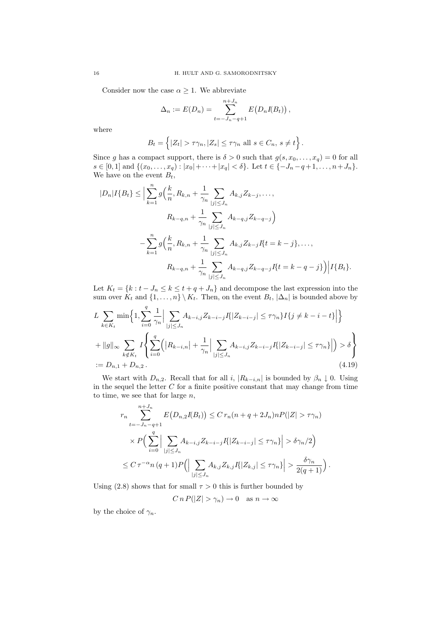Consider now the case  $\alpha \geq 1$ . We abbreviate

$$
\Delta_n := E(D_n) = \sum_{t=-J_n-q+1}^{n+J_n} E(D_n I(B_t)),
$$

where

$$
B_t = \left\{ |Z_t| > \tau \gamma_n, |Z_s| \le \tau \gamma_n \text{ all } s \in C_n, s \ne t \right\}.
$$

Since g has a compact support, there is  $\delta > 0$  such that  $g(s, x_0, \ldots, x_q) = 0$  for all  $s \in [0, 1]$  and  $\{(x_0, \ldots, x_q) : |x_0| + \cdots + |x_q| < \delta\}$ . Let  $t \in \{-J_n - q + 1, \ldots, n + J_n\}$ . We have on the event  $B_t$ ,

$$
|D_{n}|I\{B_{t}\}\leq \Big|\sum_{k=1}^{n}g\Big(\frac{k}{n},R_{k,n}+\frac{1}{\gamma_{n}}\sum_{|j|\leq J_{n}}A_{k,j}Z_{k-j},\ldots,\\R_{k-q,n}+\frac{1}{\gamma_{n}}\sum_{|j|\leq J_{n}}A_{k-q,j}Z_{k-q-j}\Big)\\-\sum_{k=1}^{n}g\Big(\frac{k}{n},R_{k,n}+\frac{1}{\gamma_{n}}\sum_{|j|\leq J_{n}}A_{k,j}Z_{k-j}I\{t=k-j\},\ldots,\\R_{k-q,n}+\frac{1}{\gamma_{n}}\sum_{|j|\leq J_{n}}A_{k-q,j}Z_{k-q-j}I\{t=k-q-j\}\Big)|I\{B_{t}\}.
$$

Let  $K_t = \{k : t - J_n \leq k \leq t + q + J_n\}$  and decompose the last expression into the sum over  $K_t$  and  $\{1, \ldots, n\} \setminus K_t$ . Then, on the event  $B_t$ ,  $|\Delta_n|$  is bounded above by

$$
L \sum_{k \in K_t} \min \left\{ 1, \sum_{i=0}^q \frac{1}{\gamma_n} \Big| \sum_{|j| \le J_n} A_{k-i,j} Z_{k-i-j} I\{|Z_{k-i-j}| \le \tau \gamma_n\} I\{j \ne k-i-t\} \Big| \right\}
$$
  
+ 
$$
||g||_{\infty} \sum_{k \notin K_t} I \left\{ \sum_{i=0}^q \left( |R_{k-i,n}| + \frac{1}{\gamma_n} \Big| \sum_{|j| \le J_n} A_{k-i,j} Z_{k-i-j} I\{|Z_{k-i-j}| \le \tau \gamma_n\} \Big| \right) > \delta \right\}
$$
  
:=  $D_{n,1} + D_{n,2}$ . (4.19)

We start with  $D_{n,2}$ . Recall that for all i,  $|R_{k-i,n}|$  is bounded by  $\beta_n \downarrow 0$ . Using in the sequel the letter  $C$  for a finite positive constant that may change from time to time, we see that for large  $n$ ,

$$
r_n \sum_{t=-J_n-q+1}^{n+J_n} E(D_{n,2}I(B_t)) \leq C r_n (n+q+2J_n) n P(|Z| > \tau \gamma_n)
$$
  
 
$$
\times P\Big(\sum_{i=0}^q \Big|\sum_{|j|\leq J_n} A_{k-i,j} Z_{k-i-j} I(|Z_{k-i-j}| \leq \tau \gamma_n\Big| > \delta \gamma_n/2\Big)
$$
  
 
$$
\leq C \tau^{-\alpha} n (q+1) P\Big(\Big|\sum_{|j|\leq J_n} A_{k,j} Z_{k,j} I(|Z_{k,j}| \leq \tau \gamma_n\Big|\Big| > \frac{\delta \gamma_n}{2(q+1)}\Big).
$$

Using (2.8) shows that for small  $\tau > 0$  this is further bounded by

 $C n P(|Z| > \gamma_n) \to 0 \text{ as } n \to \infty$ 

by the choice of  $\gamma_n$ .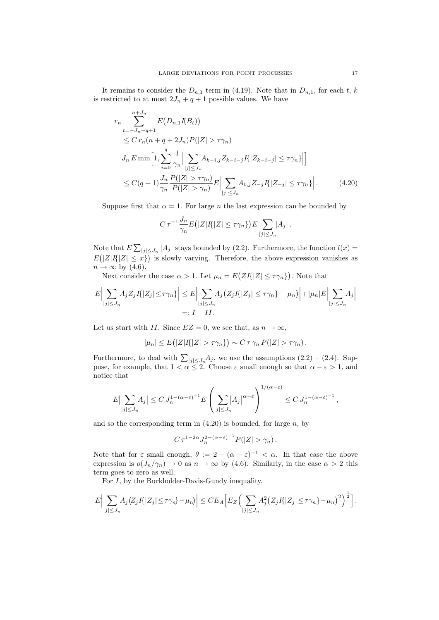It remains to consider the  $D_{n,1}$  term in (4.19). Note that in  $D_{n,1}$ , for each t, k is restricted to at most  $2J_n + q + 1$  possible values. We have

$$
r_{n} \sum_{t=-J_{n}-q+1}^{n+J_{n}} E(D_{n,1}I(B_{t}))
$$
  
\n
$$
\leq C r_{n}(n+q+2J_{n})P(|Z| > \tau \gamma_{n})
$$
  
\n
$$
J_{n} E \min\left[1, \sum_{i=0}^{q} \frac{1}{\gamma_{n}} \Big| \sum_{|j| \leq J_{n}} A_{k-i,j} Z_{k-i-j} I(|Z_{k-i-j}| \leq \tau \gamma_{n})\Big|\right]
$$
  
\n
$$
\leq C(q+1) \frac{J_{n}}{\gamma_{n}} \frac{P(|Z| > \tau \gamma_{n})}{P(|Z| > \gamma_{n})} E\Big| \sum_{|j| \leq J_{n}} A_{0,j} Z_{-j} I(|Z_{-j}| \leq \tau \gamma_{n})\Big|.
$$
 (4.20)

Suppose first that  $\alpha = 1$ . For large *n* the last expression can be bounded by

$$
C\,\tau^{-1}\frac{J_n}{\gamma_n}E\big(|Z|I\{ |Z| \leq \tau \gamma_n\}\big)E\sum_{|j|\leq J_n}|A_j|.
$$

Note that  $E\sum_{|j|\leq J_n}|A_j|$  stays bounded by (2.2). Furthermore, the function  $l(x)$  $E(|Z|I(|Z| \leq x))$  is slowly varying. Therefore, the above expression vanishes as  $n \to \infty$  by (4.6).

Next consider the case  $\alpha > 1$ . Let  $\mu_n = E(ZI\{|Z| \leq \tau \gamma_n\})$ . Note that

$$
E\Big|\sum_{|j|\leq J_n} A_j Z_j I\{|Z_j|\leq \tau\gamma_n\}\Big|\leq E\Big|\sum_{|j|\leq J_n} A_j \big(Z_j I\{|Z_j|\leq \tau\gamma_n\}-\mu_n\big)\Big|+|\mu_n| E\Big|\sum_{|j|\leq J_n} A_j\Big|
$$
  
=:  $I + II$ .

Let us start with II. Since  $EZ = 0$ , we see that, as  $n \to \infty$ ,

$$
|\mu_n| \leq E(|Z|I(|Z| > \tau \gamma_n)) \sim C \tau \gamma_n P(|Z| > \tau \gamma_n).
$$

Furthermore, to deal with  $\sum_{|j| \le J_n} A_j$ , we use the assumptions  $(2.2) - (2.4)$ . Suppose, for example, that  $1 < \alpha \leq 2$ . Choose  $\varepsilon$  small enough so that  $\alpha - \varepsilon > 1$ , and notice that

$$
E\left|\sum_{|j|\leq J_n} A_j\right| \leq C J_n^{1-(\alpha-\varepsilon)^{-1}} E\left(\sum_{|j|\leq J_n} |A_j|^{\alpha-\varepsilon}\right)^{1/(\alpha-\varepsilon)} \leq C J_n^{1-(\alpha-\varepsilon)^{-1}},
$$

and so the corresponding term in  $(4.20)$  is bounded, for large n, by

$$
C\,\tau^{1-2\alpha}J_n^{2-(\alpha-\varepsilon)^{-1}}P(|Z|>\gamma_n)\,.
$$

Note that for  $\varepsilon$  small enough,  $\theta := 2 - (\alpha - \varepsilon)^{-1} < \alpha$ . In that case the above expression is  $o(J_n/\gamma_n) \to 0$  as  $n \to \infty$  by (4.6). Similarly, in the case  $\alpha > 2$  this term goes to zero as well.

For I, by the Burkholder-Davis-Gundy inequality,

$$
E\Big|\sum_{|j|\leq J_n}A_j\big(Z_jI\{|Z_j|\leq \tau\gamma_n\}-\mu_n\big)\Big|\leq CE_A\Big[E_Z\Big(\sum_{|j|\leq J_n}A_j^2\big(Z_jI\{|Z_j|\leq \tau\gamma_n\}-\mu_n\big)^2\Big)^{\frac{1}{2}}\Big].
$$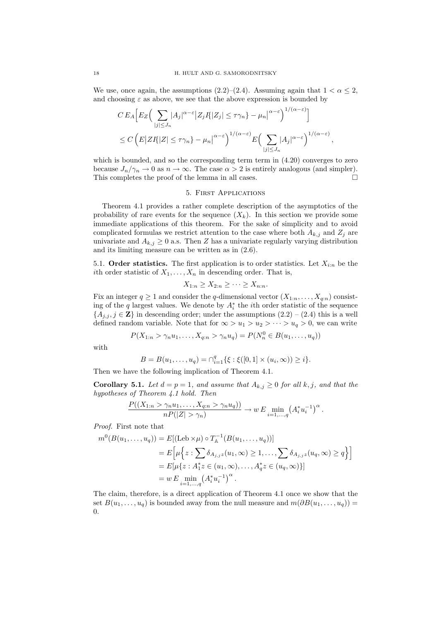We use, once again, the assumptions (2.2)–(2.4). Assuming again that  $1 < \alpha \leq 2$ , and choosing  $\varepsilon$  as above, we see that the above expression is bounded by

$$
C E_A \Big[ E_Z \Big( \sum_{|j| \le J_n} |A_j|^{\alpha - \varepsilon} |Z_j I| |Z_j| \le \tau \gamma_n \Big) - \mu_n \Big|^{\alpha - \varepsilon} \Big)^{1/(\alpha - \varepsilon)} \Big]
$$
  

$$
\le C \Big( E |Z I| |Z| \le \tau \gamma_n \Big) - \mu_n \Big|^{\alpha - \varepsilon} \Big)^{1/(\alpha - \varepsilon)} E \Big( \sum_{|j| \le J_n} |A_j|^{\alpha - \varepsilon} \Big)^{1/(\alpha - \varepsilon)}
$$

,

which is bounded, and so the corresponding term term in (4.20) converges to zero because  $J_n/\gamma_n \to 0$  as  $n \to \infty$ . The case  $\alpha > 2$  is entirely analogous (and simpler). This completes the proof of the lemma in all cases.  $\Box$ 

### 5. First Applications

Theorem 4.1 provides a rather complete description of the asymptotics of the probability of rare events for the sequence  $(X_k)$ . In this section we provide some immediate applications of this theorem. For the sake of simplicity and to avoid complicated formulas we restrict attention to the case where both  $A_{k,j}$  and  $Z_j$  are univariate and  $A_{k,j} \geq 0$  a.s. Then Z has a univariate regularly varying distribution and its limiting measure can be written as in (2.6).

5.1. Order statistics. The first application is to order statistics. Let  $X_{i:n}$  be the ith order statistic of  $X_1, \ldots, X_n$  in descending order. That is,

$$
X_{1:n} \ge X_{2:n} \ge \cdots \ge X_{n:n}.
$$

Fix an integer  $q \ge 1$  and consider the q-dimensional vector  $(X_{1:n}, \ldots, X_{q:n})$  consisting of the q largest values. We denote by  $A_i^*$  the *i*th order statistic of the sequence  ${A_{j,j}, j \in \mathbf{Z}}$  in descending order; under the assumptions  $(2.2) - (2.4)$  this is a well defined random variable. Note that for  $\infty > u_1 > u_2 > \cdots > u_q > 0$ , we can write

$$
P(X_{1:n} > \gamma_n u_1, \dots, X_{q:n} > \gamma_n u_q) = P(N_n^0 \in B(u_1, \dots, u_q))
$$

with

$$
B = B(u_1, \dots, u_q) = \bigcap_{i=1}^q \{ \xi : \xi([0,1] \times (u_i, \infty)) \geq i \}.
$$

Then we have the following implication of Theorem 4.1.

**Corollary 5.1.** Let  $d = p = 1$ , and assume that  $A_{k,j} \geq 0$  for all k, j, and that the hypotheses of Theorem 4.1 hold. Then

$$
\frac{P((X_{1:n} > \gamma_n u_1, \dots, X_{q:n} > \gamma_n u_q))}{nP(|Z| > \gamma_n)} \to w E \min_{i=1,\dots,q} (A_i^* u_i^{-1})^{\alpha}.
$$

Proof. First note that

$$
m^{0}(B(u_{1},...,u_{q})) = E[(\text{Leb} \times \mu) \circ T_{\mathbb{A}}^{-1}(B(u_{1},...,u_{q}))]
$$
  
\n
$$
= E\left[\mu\left\{z : \sum \delta_{A_{j,j}z}(u_{1},\infty) \geq 1,..., \sum \delta_{A_{j,j}z}(u_{q},\infty) \geq q\right\}\right]
$$
  
\n
$$
= E[\mu\{z : A_{1}^{*}z \in (u_{1},\infty),..., A_{q}^{*}z \in (u_{q},\infty)\}]
$$
  
\n
$$
= w E \min_{i=1,...,q} (A_{i}^{*}u_{i}^{-1})^{\alpha}.
$$

The claim, therefore, is a direct application of Theorem 4.1 once we show that the set  $B(u_1, \ldots, u_q)$  is bounded away from the null measure and  $m(\partial B(u_1, \ldots, u_q)) =$ 0.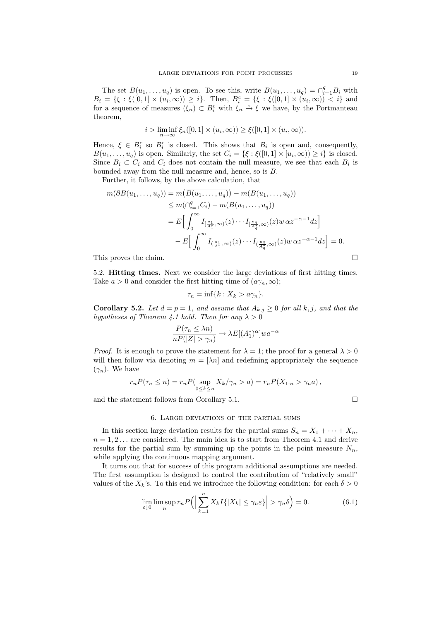The set  $B(u_1, \ldots, u_q)$  is open. To see this, write  $B(u_1, \ldots, u_q) = \bigcap_{i=1}^q B_i$  with  $B_i = \{\xi : \xi([0,1] \times (u_i, \infty)) \geq i\}.$  Then,  $B_i^c = \{\xi : \xi([0,1] \times (u_i, \infty)) < i\}$  and for a sequence of measures  $(\xi_n) \subset B_i^c$  with  $\xi_n \stackrel{\nu}{\to} \xi$  we have, by the Portmanteau theorem,

$$
i > \liminf_{n \to \infty} \xi_n([0,1] \times (u_i,\infty)) \ge \xi([0,1] \times (u_i,\infty)).
$$

Hence,  $\xi \in B_i^c$  so  $B_i^c$  is closed. This shows that  $B_i$  is open and, consequently,  $B(u_1,\ldots,u_q)$  is open. Similarly, the set  $C_i = \{ \xi : \xi([0,1] \times [u_i,\infty)) \geq i \}$  is closed. Since  $B_i \subset C_i$  and  $C_i$  does not contain the null measure, we see that each  $B_i$  is bounded away from the null measure and, hence, so is B.

Further, it follows, by the above calculation, that

$$
m(\partial B(u_1, \dots, u_q)) = m(B(u_1, \dots, u_q)) - m(B(u_1, \dots, u_q))
$$
  
\n
$$
\leq m(\cap_{i=1}^q C_i) - m(B(u_1, \dots, u_q))
$$
  
\n
$$
= E\Big[\int_0^\infty I_{\left[\frac{u_1}{A_1^*}, \infty\right)}(z) \cdots I_{\left[\frac{u_q}{A_q^*}, \infty\right)}(z) w \alpha z^{-\alpha - 1} dz\Big]
$$
  
\n
$$
- E\Big[\int_0^\infty I_{\left(\frac{u_1}{A_1^*}, \infty\right)}(z) \cdots I_{\left(\frac{u_q}{A_q^*}, \infty\right)}(z) w \alpha z^{-\alpha - 1} dz\Big] = 0.
$$

This proves the claim.

5.2. Hitting times. Next we consider the large deviations of first hitting times. Take  $a > 0$  and consider the first hitting time of  $(a\gamma_n, \infty);$ 

$$
\tau_n = \inf\{k : X_k > a\gamma_n\}.
$$

**Corollary 5.2.** Let  $d = p = 1$ , and assume that  $A_{k,j} \geq 0$  for all k, j, and that the hypotheses of Theorem 4.1 hold. Then for any  $\lambda > 0$ 

$$
\frac{P(\tau_n \le \lambda n)}{nP(|Z| > \gamma_n)} \to \lambda E[(A_1^*)^{\alpha}]wa^{-\alpha}
$$

*Proof.* It is enough to prove the statement for  $\lambda = 1$ ; the proof for a general  $\lambda > 0$ will then follow via denoting  $m = \lceil \lambda n \rceil$  and redefining appropriately the sequence  $(\gamma_n)$ . We have

$$
r_n P(\tau_n \le n) = r_n P(\sup_{0 \le k \le n} X_k/\gamma_n > a) = r_n P(X_{1:n} > \gamma_n a),
$$

and the statement follows from Corollary 5.1.

#### 6. Large deviations of the partial sums

In this section large deviation results for the partial sums  $S_n = X_1 + \cdots + X_n$ ,  $n = 1, 2, \ldots$  are considered. The main idea is to start from Theorem 4.1 and derive results for the partial sum by summing up the points in the point measure  $N_n$ , while applying the continuous mapping argument.

It turns out that for success of this program additional assumptions are needed. The first assumption is designed to control the contribution of "relatively small" values of the  $X_k$ 's. To this end we introduce the following condition: for each  $\delta > 0$ 

$$
\lim_{\varepsilon \downarrow 0} \limsup_n r_n P\Big(\Big|\sum_{k=1}^n X_k I\{|X_k| \le \gamma_n \varepsilon\}\Big| > \gamma_n \delta\Big) = 0. \tag{6.1}
$$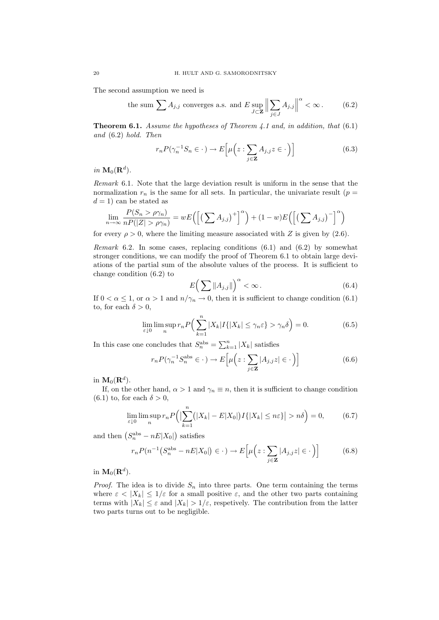The second assumption we need is

the sum 
$$
\sum A_{j,j}
$$
 converges a.s. and  $E \sup_{J \subset \mathbf{Z}} \left\| \sum_{j \in J} A_{j,j} \right\|^{\alpha} < \infty$ . (6.2)

**Theorem 6.1.** Assume the hypotheses of Theorem 4.1 and, in addition, that  $(6.1)$ and (6.2) hold. Then

$$
r_n P(\gamma_n^{-1} S_n \in \cdot) \to E\Big[\mu\Big(z : \sum_{j \in \mathbf{Z}} A_{j,j} z \in \cdot\Big)\Big] \tag{6.3}
$$

in  $\mathbf{M}_0(\mathbf{R}^d)$ .

Remark 6.1. Note that the large deviation result is uniform in the sense that the normalization  $r_n$  is the same for all sets. In particular, the univariate result ( $p =$  $d = 1$ ) can be stated as

$$
\lim_{n \to \infty} \frac{P(S_n > \rho \gamma_n)}{nP(|Z| > \rho \gamma_n)} = wE\left(\left[\left(\sum A_{j,j}\right)^+\right]^\alpha\right) + (1 - w)E\left(\left[\left(\sum A_{j,j}\right)^-\right]^\alpha\right)
$$

for every  $\rho > 0$ , where the limiting measure associated with Z is given by (2.6).

Remark 6.2. In some cases, replacing conditions  $(6.1)$  and  $(6.2)$  by somewhat stronger conditions, we can modify the proof of Theorem 6.1 to obtain large deviations of the partial sum of the absolute values of the process. It is sufficient to change condition (6.2) to

$$
E\left(\sum \|A_{j,j}\|\right)^{\alpha} < \infty. \tag{6.4}
$$

If  $0 < \alpha \leq 1$ , or  $\alpha > 1$  and  $n/\gamma_n \to 0$ , then it is sufficient to change condition (6.1) to, for each  $\delta > 0$ ,

$$
\lim_{\varepsilon \downarrow 0} \limsup_n r_n P\Big(\sum_{k=1}^n |X_k| I\{|X_k| \le \gamma_n \varepsilon\} > \gamma_n \delta\Big) = 0. \tag{6.5}
$$

In this case one concludes that  $S_n^{\text{abs}} = \sum_{k=1}^n |X_k|$  satisfies

$$
r_n P(\gamma_n^{-1} S_n^{\text{abs}} \in \cdot) \to E\Big[\mu\Big(z : \sum_{j \in \mathbf{Z}} |A_{j,j} z| \in \cdot\Big)\Big] \tag{6.6}
$$

in  $\mathbf{M}_0(\mathbf{R}^d).$ 

If, on the other hand,  $\alpha > 1$  and  $\gamma_n \equiv n$ , then it is sufficient to change condition (6.1) to, for each  $\delta > 0$ ,

$$
\lim_{\varepsilon \downarrow 0} \limsup_n r_n P\Big(\big|\sum_{k=1}^n (|X_k| - E|X_0|) I\{|X_k| \le n\varepsilon\}\big| > n\delta\Big) = 0,\tag{6.7}
$$

and then  $(S_n^{abs} - nE|X_0|)$  satisfies

$$
r_n P(n^{-1} (S_n^{\text{abs}} - nE|X_0|) \in \cdot) \to E\Big[\mu\Big(z : \sum_{j \in \mathbf{Z}} |A_{j,j} z| \in \cdot\Big)\Big] \tag{6.8}
$$

in  $\mathbf{M}_{0}(\mathbf{R}^{d}).$ 

*Proof.* The idea is to divide  $S_n$  into three parts. One term containing the terms where  $\varepsilon < |X_k| \leq 1/\varepsilon$  for a small positive  $\varepsilon$ , and the other two parts containing terms with  $|X_k| \leq \varepsilon$  and  $|X_k| > 1/\varepsilon$ , respetively. The contribution from the latter two parts turns out to be negligible.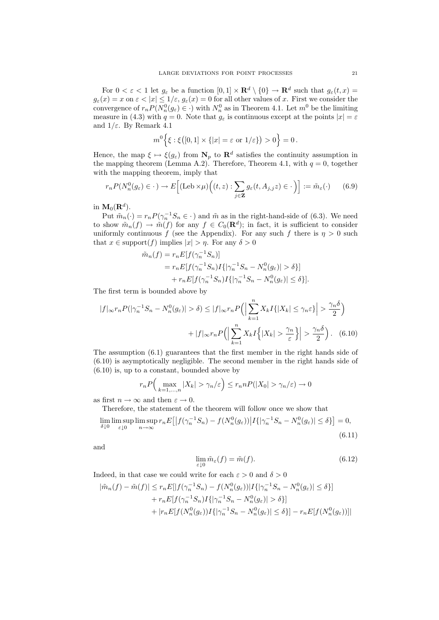For  $0 < \varepsilon < 1$  let  $g_{\varepsilon}$  be a function  $[0,1] \times \mathbf{R}^d \setminus \{0\} \to \mathbf{R}^d$  such that  $g_{\varepsilon}(t,x) =$  $g_{\varepsilon}(x) = x$  on  $\varepsilon < |x| \leq 1/\varepsilon$ ,  $g_{\varepsilon}(x) = 0$  for all other values of x. First we consider the convergence of  $r_n P(N_n^0(g_\varepsilon) \in \cdot)$  with  $N_n^0$  as in Theorem 4.1. Let  $m^0$  be the limiting measure in (4.3) with  $q = 0$ . Note that  $g_{\varepsilon}$  is continuous except at the points  $|x| = \varepsilon$ and  $1/\varepsilon$ . By Remark 4.1

$$
m^{0}\Big\{\xi:\xi\big([0,1]\times\{|x|=\varepsilon \text{ or } 1/\varepsilon\}\big)>0\Big\}=0.
$$

Hence, the map  $\xi \mapsto \xi(g_{\varepsilon})$  from  $N_p$  to  $\mathbf{R}^d$  satisfies the continuity assumption in the mapping theorem (Lemma A.2). Therefore, Theorem 4.1, with  $q = 0$ , together with the mapping theorem, imply that

$$
r_n P(N_n^0(g_\varepsilon) \in \cdot) \to E\Big[ (\text{Leb} \times \mu) \Big( (t, z) : \sum_{j \in \mathbf{Z}} g_\varepsilon(t, A_{j, j} z) \in \cdot \Big) \Big] := \tilde{m}_\varepsilon(\cdot) \tag{6.9}
$$

in  $\mathbf{M}_0(\mathbf{R}^d).$ 

Put  $\tilde{m}_n(\cdot) = r_n P(\gamma_n^{-1} S_n \in \cdot)$  and  $\tilde{m}$  as in the right-hand-side of (6.3). We need to show  $\tilde{m}_n(f) \to \tilde{m}(f)$  for any  $f \in C_0(\mathbf{R}^d)$ ; in fact, it is sufficient to consider uniformly continuous f (see the Appendix). For any such f there is  $\eta > 0$  such that  $x \in \text{support}(f)$  implies  $|x| > \eta$ . For any  $\delta > 0$ 

$$
\tilde{m}_n(f) = r_n E[f(\gamma_n^{-1} S_n)]
$$
  
= 
$$
r_n E[f(\gamma_n^{-1} S_n) I\{|\gamma_n^{-1} S_n - N_n^0(g_{\varepsilon})| > \delta\}]
$$
  
+ 
$$
r_n E[f(\gamma_n^{-1} S_n) I\{|\gamma_n^{-1} S_n - N_n^0(g_{\varepsilon})| \le \delta\}].
$$

The first term is bounded above by

$$
|f|_{\infty} r_n P(|\gamma_n^{-1} S_n - N_n^0(g_{\varepsilon})| > \delta) \le |f|_{\infty} r_n P\left(\left|\sum_{k=1}^n X_k I\{|X_k| \le \gamma_n \varepsilon\}\right| > \frac{\gamma_n \delta}{2}\right) + |f|_{\infty} r_n P\left(\left|\sum_{k=1}^n X_k I\{|X_k| > \frac{\gamma_n}{\varepsilon}\}\right|\right) > \frac{\gamma_n \delta}{2}\right). \tag{6.10}
$$

The assumption (6.1) guarantees that the first member in the right hands side of (6.10) is asymptotically negligible. The second member in the right hands side of (6.10) is, up to a constant, bounded above by

$$
r_n P\Big(\max_{k=1,\dots,n}|X_k| > \gamma_n/\varepsilon\Big) \le r_n n P(|X_0| > \gamma_n/\varepsilon) \to 0
$$

as first  $n \to \infty$  and then  $\varepsilon \to 0$ .

Therefore, the statement of the theorem will follow once we show that

$$
\lim_{\delta \downarrow 0} \limsup_{\varepsilon \downarrow 0} \limsup_{n \to \infty} r_n E\left[ \left| f(\gamma_n^{-1} S_n) - f(N_n^0(g_\varepsilon)) \right| I\{ |\gamma_n^{-1} S_n - N_n^0(g_\varepsilon)| \le \delta \} \right] = 0,
$$
\n(6.11)

and

$$
\lim_{\varepsilon \downarrow 0} \tilde{m}_{\varepsilon}(f) = \tilde{m}(f). \tag{6.12}
$$

Indeed, in that case we could write for each  $\varepsilon > 0$  and  $\delta > 0$ 

$$
|\tilde{m}_n(f) - \tilde{m}(f)| \le r_n E[|f(\gamma_n^{-1}S_n) - f(N_n^0(g_{\varepsilon}))|I\{|\gamma_n^{-1}S_n - N_n^0(g_{\varepsilon})| \le \delta\}] + r_n E[f(\gamma_n^{-1}S_n)I\{|\gamma_n^{-1}S_n - N_n^0(g_{\varepsilon})| > \delta\}] + |r_n E[f(N_n^0(g_{\varepsilon}))I\{|\gamma_n^{-1}S_n - N_n^0(g_{\varepsilon})| \le \delta\}] - r_n E[f(N_n^0(g_{\varepsilon}))]|
$$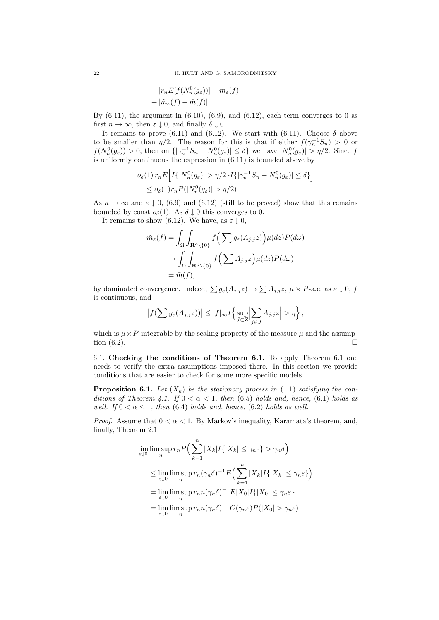+ 
$$
|r_n E[f(N_n^0(g_\varepsilon))] - m_\varepsilon(f)|
$$
  
+  $|\tilde{m}_\varepsilon(f) - \tilde{m}(f)|$ .

By  $(6.11)$ , the argument in  $(6.10)$ ,  $(6.9)$ , and  $(6.12)$ , each term converges to 0 as first  $n \to \infty$ , then  $\varepsilon \downarrow 0$ , and finally  $\delta \downarrow 0$ .

It remains to prove (6.11) and (6.12). We start with (6.11). Choose  $\delta$  above to be smaller than  $\eta/2$ . The reason for this is that if either  $f(\gamma_n^{-1}S_n) > 0$  or  $f(N_n^0(g_\varepsilon)) > 0$ , then on  $\{|\gamma_n^{-1}S_n - N_n^0(g_\varepsilon)| \le \delta\}$  we have  $|N_n^0(g_\varepsilon)| > \eta/2$ . Since f is uniformly continuous the expression in  $(6.11)$  is bounded above by

$$
o_{\delta}(1) r_n E\Big[I\{|N_n^0(g_{\varepsilon})| > \eta/2\}I\{|\gamma_n^{-1}S_n - N_n^0(g_{\varepsilon})| \le \delta\}\Big]
$$
  

$$
\le o_{\delta}(1)r_n P(|N_n^0(g_{\varepsilon})| > \eta/2).
$$

As  $n \to \infty$  and  $\varepsilon \downarrow 0$ , (6.9) and (6.12) (still to be proved) show that this remains bounded by const  $o_{\delta}(1)$ . As  $\delta \downarrow 0$  this converges to 0.

It remains to show (6.12). We have, as  $\varepsilon \downarrow 0$ ,

$$
\tilde{m}_{\varepsilon}(f) = \int_{\Omega} \int_{\mathbf{R}^d \setminus \{0\}} f\Big(\sum g_{\varepsilon}(A_{j,j}z)\Big) \mu(dz) P(d\omega)
$$

$$
\to \int_{\Omega} \int_{\mathbf{R}^d \setminus \{0\}} f\Big(\sum A_{j,j}z\Big) \mu(dz) P(d\omega)
$$

$$
= \tilde{m}(f),
$$

by dominated convergence. Indeed,  $\sum g_{\varepsilon}(A_{j,j} z) \to \sum A_{j,j} z$ ,  $\mu \times P$ -a.e. as  $\varepsilon \downarrow 0$ , f is continuous, and

$$
\left|f(\sum g_{\varepsilon}(A_{j,j}z))\right| \leq |f|_{\infty}I\Big\{\sup_{J\subset\mathbf{Z}}\Big|\sum_{j\in J}A_{j,j}z\Big|>\eta\Big\}\,,
$$

which is  $\mu \times P$ -integrable by the scaling property of the measure  $\mu$  and the assumption  $(6.2)$ .

6.1. Checking the conditions of Theorem 6.1. To apply Theorem 6.1 one needs to verify the extra assumptions imposed there. In this section we provide conditions that are easier to check for some more specific models.

**Proposition 6.1.** Let  $(X_k)$  be the stationary process in (1.1) satisfying the conditions of Theorem 4.1. If  $0 < \alpha < 1$ , then (6.5) holds and, hence, (6.1) holds as well. If  $0 < \alpha < 1$ , then (6.4) holds and, hence, (6.2) holds as well.

*Proof.* Assume that  $0 < \alpha < 1$ . By Markov's inequality, Karamata's theorem, and, finally, Theorem 2.1

$$
\lim_{\varepsilon \downarrow 0} \limsup_{n} r_n P\Big(\sum_{k=1}^n |X_k| I\{|X_k| \le \gamma_n \varepsilon\} > \gamma_n \delta\Big)
$$
\n
$$
\le \lim_{\varepsilon \downarrow 0} \limsup_{n} r_n (\gamma_n \delta)^{-1} E\Big(\sum_{k=1}^n |X_k| I\{|X_k| \le \gamma_n \varepsilon\}\Big)
$$
\n
$$
= \lim_{\varepsilon \downarrow 0} \limsup_{n} r_n n (\gamma_n \delta)^{-1} E|X_0| I\{|X_0| \le \gamma_n \varepsilon\}
$$
\n
$$
= \lim_{\varepsilon \downarrow 0} \limsup_{n} r_n n (\gamma_n \delta)^{-1} C(\gamma_n \varepsilon) P(|X_0| > \gamma_n \varepsilon)
$$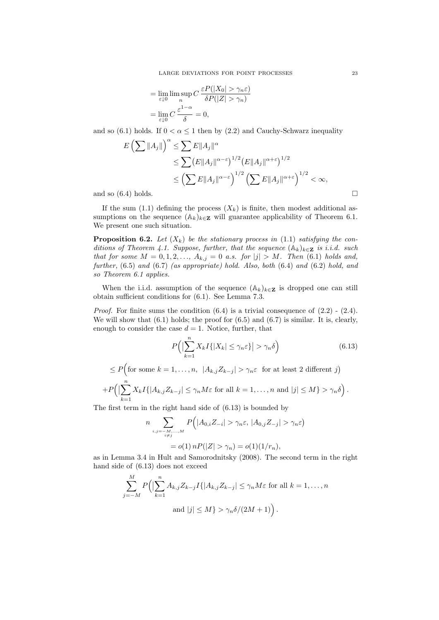$$
= \lim_{\varepsilon \downarrow 0} \limsup_n C \frac{\varepsilon P(|X_0| > \gamma_n \varepsilon)}{\delta P(|Z| > \gamma_n)}
$$

$$
= \lim_{\varepsilon \downarrow 0} C \frac{\varepsilon^{1-\alpha}}{\delta} = 0,
$$

and so (6.1) holds. If  $0 < \alpha \leq 1$  then by (2.2) and Cauchy-Schwarz inequality

$$
E\left(\sum \|A_j\|\right)^{\alpha} \le \sum E \|A_j\|^{\alpha}
$$
  
\n
$$
\le \sum \left(E \|A_j\|^{\alpha-\varepsilon}\right)^{1/2} \left(E \|A_j\|^{\alpha+\varepsilon}\right)^{1/2}
$$
  
\n
$$
\le \left(\sum E \|A_j\|^{\alpha-\varepsilon}\right)^{1/2} \left(\sum E \|A_j\|^{\alpha+\varepsilon}\right)^{1/2} < \infty,
$$
  
\nand so (6.4) holds.

If the sum (1.1) defining the process  $(X_k)$  is finite, then modest additional assumptions on the sequence  $(\mathbb{A}_k)_{k\in\mathbb{Z}}$  will guarantee applicability of Theorem 6.1. We present one such situation.

**Proposition 6.2.** Let  $(X_k)$  be the stationary process in (1.1) satisfying the conditions of Theorem 4.1. Suppose, further, that the sequence  $(\mathbb{A}_k)_{k\in\mathbb{Z}}$  is i.i.d. such that for some  $M = 0, 1, 2, ..., A_{k,j} = 0$  a.s. for  $|j| > M$ . Then (6.1) holds and, further, (6.5) and (6.7) (as appropriate) hold. Also, both (6.4) and (6.2) hold, and so Theorem 6.1 applies.

When the i.i.d. assumption of the sequence  $(\mathbb{A}_k)_{k\in\mathbb{Z}}$  is dropped one can still obtain sufficient conditions for (6.1). See Lemma 7.3.

*Proof.* For finite sums the condition  $(6.4)$  is a trivial consequence of  $(2.2)$  -  $(2.4)$ . We will show that  $(6.1)$  holds; the proof for  $(6.5)$  and  $(6.7)$  is similar. It is, clearly, enough to consider the case  $d = 1$ . Notice, further, that

$$
P\left(\left|\sum_{k=1}^{n} X_k I\{|X_k| \le \gamma_n \varepsilon\}\right| > \gamma_n \delta\right) \tag{6.13}
$$

$$
\leq P\Big(\text{for some }k=1,\ldots,n,\ |A_{k,j}Z_{k-j}| > \gamma_n\varepsilon \text{ for at least }2 \text{ different }j\Big) +P\Big(\big|\sum_{k=1}^n X_k I\{|A_{k,j}Z_{k-j}|\leq \gamma_n M\varepsilon \text{ for all }k=1,\ldots,n \text{ and }|j|\leq M\} > \gamma_n\delta\Big).
$$

The first term in the right hand side of (6.13) is bounded by

$$
n \sum_{\substack{i,j=-M,\dots,M \\ i \neq j}} P(|A_{0,i}Z_{-i}| > \gamma_n \varepsilon, |A_{0,j}Z_{-j}| > \gamma_n \varepsilon)
$$
  
=  $o(1) n P(|Z| > \gamma_n) = o(1)(1/r_n),$ 

as in Lemma 3.4 in Hult and Samorodnitsky (2008). The second term in the right hand side of (6.13) does not exceed

$$
\sum_{j=-M}^{M} P\left(\left|\sum_{k=1}^{n} A_{k,j} Z_{k-j} I\{|A_{k,j} Z_{k-j}| \leq \gamma_n M\varepsilon \text{ for all } k=1,\ldots,n\right.\right)
$$
  
and  $|j| \leq M$   $> \gamma_n \delta/(2M+1)$ .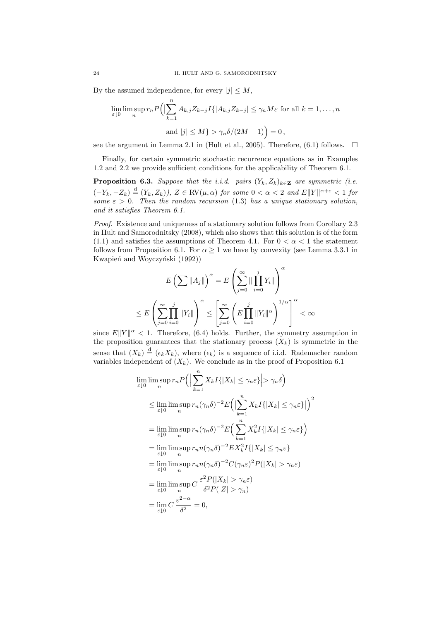By the assumed independence, for every  $|j| \leq M$ ,

$$
\lim_{\varepsilon \downarrow 0} \limsup_n r_n P\Big(\Big|\sum_{k=1}^n A_{k,j} Z_{k-j} I\{|A_{k,j} Z_{k-j}| \le \gamma_n M \varepsilon \text{ for all } k = 1, ..., n
$$
  
and  $|j| \le M$  >  $\gamma_n \delta/(2M+1)\Big) = 0$ ,

see the argument in Lemma 2.1 in (Hult et al., 2005). Therefore, (6.1) follows.  $\Box$ 

Finally, for certain symmetric stochastic recurrence equations as in Examples 1.2 and 2.2 we provide sufficient conditions for the applicability of Theorem 6.1.

**Proposition 6.3.** Suppose that the i.i.d. pairs  $(Y_k, Z_k)_{k \in \mathbb{Z}}$  are symmetric (i.e.  $(-Y_k, -Z_k) \stackrel{\text{d}}{=} (Y_k, Z_k)$ ,  $Z \in \text{RV}(\mu, \alpha)$  for some  $0 < \alpha < 2$  and  $E||Y||^{\alpha+\varepsilon} < 1$  for some  $\varepsilon > 0$ . Then the random recursion (1.3) has a unique stationary solution, and it satisfies Theorem 6.1.

Proof. Existence and uniqueness of a stationary solution follows from Corollary 2.3 in Hult and Samorodnitsky (2008), which also shows that this solution is of the form (1.1) and satisfies the assumptions of Theorem 4.1. For  $0 < \alpha < 1$  the statement follows from Proposition 6.1. For  $\alpha \geq 1$  we have by convexity (see Lemma 3.3.1 in Kwapień and Woyczyński (1992))

$$
E\left(\sum \|A_j\|\right)^{\alpha} = E\left(\sum_{j=0}^{\infty} \|\prod_{i=0}^{j} Y_i\|\right)^{\alpha}
$$
  

$$
\leq E\left(\sum_{j=0}^{\infty} \prod_{i=0}^{j} \|Y_i\|\right)^{\alpha} \leq \left[\sum_{j=0}^{\infty} \left(E\prod_{i=0}^{j} \|Y_i\|^{\alpha}\right)^{1/\alpha}\right]^{\alpha} < \infty
$$

since  $E||Y||^{\alpha} < 1$ . Therefore, (6.4) holds. Further, the symmetry assumption in the proposition guarantees that the stationary process  $(X_k)$  is symmetric in the sense that  $(X_k) \stackrel{\text{d}}{=} (\epsilon_k X_k)$ , where  $(\epsilon_k)$  is a sequence of i.i.d. Rademacher random variables independent of  $(X_k)$ . We conclude as in the proof of Proposition 6.1

$$
\lim_{\varepsilon \downarrow 0} \limsup_{n} r_n P\Big(\Big|\sum_{k=1}^{n} X_k I\{|X_k| \le \gamma_n \varepsilon\}\Big| > \gamma_n \delta\Big)
$$
\n
$$
\le \lim_{\varepsilon \downarrow 0} \limsup_{n} r_n (\gamma_n \delta)^{-2} E\Big(\Big|\sum_{k=1}^{n} X_k I\{|X_k| \le \gamma_n \varepsilon\}\Big|\Big)^2
$$
\n
$$
= \lim_{\varepsilon \downarrow 0} \limsup_{n} r_n (\gamma_n \delta)^{-2} E\Big(\sum_{k=1}^{n} X_k^2 I\{|X_k| \le \gamma_n \varepsilon\}\Big)
$$
\n
$$
= \lim_{\varepsilon \downarrow 0} \limsup_{n} r_n n (\gamma_n \delta)^{-2} E X_k^2 I\{|X_k| \le \gamma_n \varepsilon\}
$$
\n
$$
= \lim_{\varepsilon \downarrow 0} \limsup_{n} r_n n (\gamma_n \delta)^{-2} C(\gamma_n \varepsilon)^2 P(|X_k| > \gamma_n \varepsilon)
$$
\n
$$
= \lim_{\varepsilon \downarrow 0} \limsup_{n} C \frac{\varepsilon^2 P(|X_k| > \gamma_n \varepsilon)}{\delta^2 P(|Z| > \gamma_n)}
$$
\n
$$
= \lim_{\varepsilon \downarrow 0} C \frac{\varepsilon^2 - \alpha}{\delta^2} = 0,
$$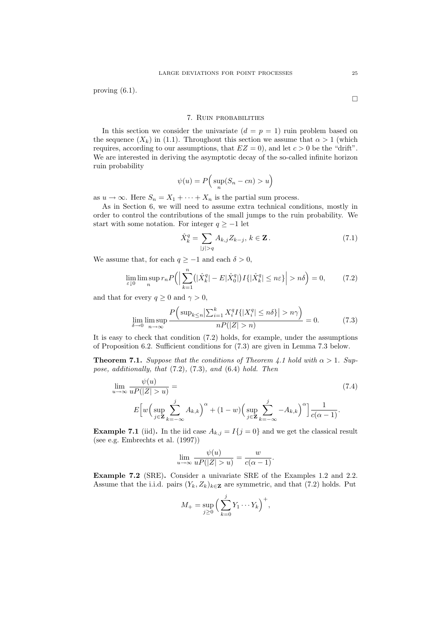proving (6.1).

 $\Box$ 

## 7. Ruin probabilities

In this section we consider the univariate  $(d = p = 1)$  ruin problem based on the sequence  $(X_k)$  in (1.1). Throughout this section we assume that  $\alpha > 1$  (which requires, according to our assumptions, that  $EZ = 0$ , and let  $c > 0$  be the "drift". We are interested in deriving the asymptotic decay of the so-called infinite horizon ruin probability

$$
\psi(u) = P\left(\sup_n (S_n - cn) > u\right)
$$

as  $u \to \infty$ . Here  $S_n = X_1 + \cdots + X_n$  is the partial sum process.

As in Section 6, we will need to assume extra technical conditions, mostly in order to control the contributions of the small jumps to the ruin probability. We start with some notation. For integer  $q \geq -1$  let

$$
\hat{X}_k^q = \sum_{|j|>q} A_{k,j} Z_{k-j}, \, k \in \mathbf{Z} \,. \tag{7.1}
$$

We assume that, for each  $q \geq -1$  and each  $\delta > 0$ ,

$$
\lim_{\varepsilon \downarrow 0} \limsup_n r_n P\Big(\Big|\sum_{k=1}^n \big(|\hat{X}_k^q| - E|\hat{X}_0^q|\big) I\{\big|\hat{X}_k^q| \le n\varepsilon\}\Big| > n\delta\Big) = 0,\tag{7.2}
$$

and that for every  $q \ge 0$  and  $\gamma > 0$ ,

$$
\lim_{\delta \to 0} \limsup_{n \to \infty} \frac{P\left(\sup_{k \le n} \left|\sum_{i=1}^k X_i^q I\{|X_i^q| \le n\delta\}\right| > n\gamma\right)}{nP(|Z| > n)} = 0. \tag{7.3}
$$

It is easy to check that condition (7.2) holds, for example, under the assumptions of Proposition 6.2. Sufficient conditions for (7.3) are given in Lemma 7.3 below.

**Theorem 7.1.** Suppose that the conditions of Theorem 4.1 hold with  $\alpha > 1$ . Suppose, additionally, that (7.2), (7.3), and (6.4) hold. Then

$$
\lim_{u \to \infty} \frac{\psi(u)}{u P(|Z| > u)} =
$$
\n
$$
E\left[w\left(\sup_{j \in \mathbf{Z}} \sum_{k=-\infty}^{j} A_{k,k}\right)^{\alpha} + (1 - w)\left(\sup_{j \in \mathbf{Z}} \sum_{k=-\infty}^{j} -A_{k,k}\right)^{\alpha}\right] \frac{1}{c(\alpha - 1)}.
$$
\n(7.4)

**Example 7.1** (iid). In the iid case  $A_{k,j} = I\{j=0\}$  and we get the classical result (see e.g. Embrechts et al. (1997))

$$
\lim_{u \to \infty} \frac{\psi(u)}{uP(|Z| > u)} = \frac{w}{c(\alpha - 1)}.
$$

Example 7.2 (SRE). Consider a univariate SRE of the Examples 1.2 and 2.2. Assume that the i.i.d. pairs  $(Y_k, Z_k)_{k \in \mathbb{Z}}$  are symmetric, and that (7.2) holds. Put

$$
M_{+} = \sup_{j \geq 0} \left( \sum_{k=0}^{j} Y_{1} \cdots Y_{k} \right)^{+},
$$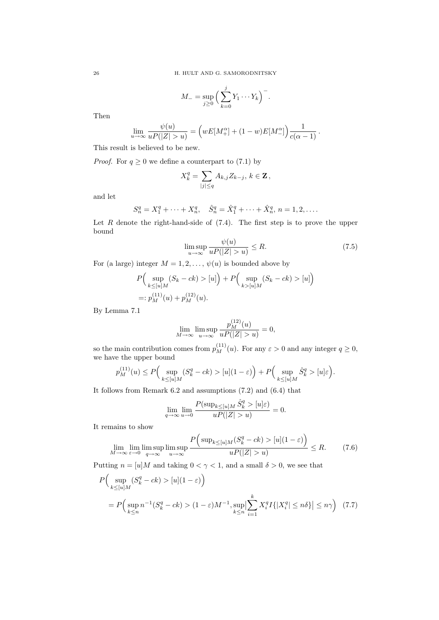$$
M_{-} = \sup_{j \geq 0} \left( \sum_{k=0}^{j} Y_1 \cdots Y_k \right)^{-}.
$$

Then

$$
\lim_{u \to \infty} \frac{\psi(u)}{uP(|Z| > u)} = \left( wE[M_+^{\alpha}] + (1 - w)E[M_-^{\alpha}] \right) \frac{1}{c(\alpha - 1)}.
$$

This result is believed to be new.

*Proof.* For  $q \ge 0$  we define a counterpart to (7.1) by

$$
X_k^q = \sum_{|j| \le q} A_{k,j} Z_{k-j}, k \in \mathbf{Z},
$$

and let

$$
S_n^q = X_1^q + \dots + X_n^q, \quad \hat{S}_n^q = \hat{X}_1^q + \dots + \hat{X}_n^q, \, n = 1, 2, \dots
$$

Let  $R$  denote the right-hand-side of  $(7.4)$ . The first step is to prove the upper bound

$$
\limsup_{u \to \infty} \frac{\psi(u)}{uP(|Z| > u)} \le R. \tag{7.5}
$$

For (a large) integer  $M = 1, 2, \ldots, \psi(u)$  is bounded above by

$$
P\Big(\sup_{k \leq [u]M} (S_k - ck) > [u]\Big) + P\Big(\sup_{k > [u]M} (S_k - ck) > [u]\Big)
$$
  
=:  $p_M^{(11)}(u) + p_M^{(12)}(u)$ .

By Lemma 7.1

$$
\lim_{M \to \infty} \limsup_{u \to \infty} \frac{p_M^{(12)}(u)}{uP(|Z| > u)} = 0,
$$

so the main contribution comes from  $p_M^{(11)}(u)$ . For any  $\varepsilon > 0$  and any integer  $q \ge 0$ , we have the upper bound

$$
p_M^{(11)}(u) \le P\Big(\sup_{k \le [u]M} (S_k^q - ck) > [u](1 - \varepsilon)\Big) + P\Big(\sup_{k \le [u]M} \hat{S}_k^q > [u]\varepsilon\Big).
$$

It follows from Remark 6.2 and assumptions (7.2) and (6.4) that

$$
\lim_{q \to \infty} \lim_{u \to 0} \frac{P(\sup_{k \leq [u]M} \hat{S}_k^q > [u]\varepsilon)}{uP(|Z| > u)} = 0.
$$

It remains to show

$$
\lim_{M \to \infty} \lim_{\varepsilon \to 0} \limsup_{q \to \infty} \limsup_{u \to \infty} \frac{P\Big(\sup_{k \le [u]M} (S_k^q - ck) > [u](1 - \varepsilon)\Big)}{uP(|Z| > u)} \le R. \tag{7.6}
$$

Putting  $n = [u]M$  and taking  $0 < \gamma < 1$ , and a small  $\delta > 0$ , we see that

$$
P\Big(\sup_{k \le [u]M} (S_k^q - ck) > [u](1 - \varepsilon)\Big)
$$
  
=  $P\Big(\sup_{k \le n} n^{-1} (S_k^q - ck) > (1 - \varepsilon)M^{-1}, \sup_{k \le n} \Big|\sum_{i=1}^k X_i^q I\{|X_i^q| \le n\delta\}| \le n\gamma\Big) (7.7)$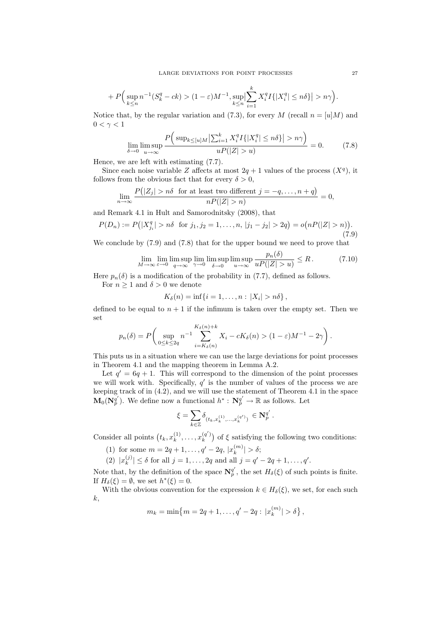$$
+P\Big(\sup_{k\leq n}n^{-1}(S_k^q-ck)>(1-\varepsilon)M^{-1},\sup_{k\leq n}\Bigl|\sum_{i=1}^kX_i^qI\{|X_i^q|\leq n\delta\}\Bigr|>n\gamma\Big).
$$

Notice that, by the regular variation and (7.3), for every M (recall  $n = [u|M]$  and  $0 < \gamma < 1$ 

$$
\lim_{\delta \to 0} \limsup_{u \to \infty} \frac{P\left(\sup_{k \le [u]M} \left|\sum_{i=1}^k X_i^q I\{|X_i^q| \le n\delta\}\right| > n\gamma\right)}{uP(|Z| > u)} = 0. \tag{7.8}
$$

Hence, we are left with estimating (7.7).

Since each noise variable Z affects at most  $2q + 1$  values of the process  $(X<sup>q</sup>)$ , it follows from the obvious fact that for every  $\delta > 0$ ,

$$
\lim_{n \to \infty} \frac{P(|Z_j| > n\delta \text{ for at least two different } j = -q, \dots, n+q)}{nP(|Z| > n)} = 0,
$$

and Remark 4.1 in Hult and Samorodnitsky (2008), that

$$
P(D_n) := P(|X_{j_i}^q| > n\delta \text{ for } j_1, j_2 = 1, ..., n, |j_1 - j_2| > 2q) = o(nP(|Z| > n)).
$$
\n(7.9)

We conclude by (7.9) and (7.8) that for the upper bound we need to prove that

$$
\lim_{M \to \infty} \lim_{\varepsilon \to 0} \limsup_{q \to \infty} \lim_{\gamma \to 0} \limsup_{\delta \to 0} \limsup_{u \to \infty} \frac{p_n(\delta)}{u P(|Z| > u)} \le R. \tag{7.10}
$$

Here  $p_n(\delta)$  is a modification of the probability in (7.7), defined as follows.

For  $n \geq 1$  and  $\delta > 0$  we denote

$$
K_{\delta}(n)=\inf\{i=1,\ldots,n:|X_i|>n\delta\},\,
$$

defined to be equal to  $n + 1$  if the infimum is taken over the empty set. Then we set

$$
p_n(\delta) = P\left(\sup_{0\leq k\leq 2q} n^{-1} \sum_{i=K_\delta(n)}^{K_\delta(n)+k} X_i - cK_\delta(n) > (1-\varepsilon)M^{-1} - 2\gamma\right).
$$

This puts us in a situation where we can use the large deviations for point processes in Theorem 4.1 and the mapping theorem in Lemma A.2.

Let  $q' = 6q + 1$ . This will correspond to the dimension of the point processes we will work with. Specifically,  $q'$  is the number of values of the process we are keeping track of in (4.2), and we will use the statement of Theorem 4.1 in the space  $\mathbf{M}_0(\mathbf{N}_p^{q'})$ . We define now a functional  $h^*: \mathbf{N}_p^{q'} \to \mathbb{R}$  as follows. Let

$$
\xi = \sum_{k \in \mathbb{Z}} \delta_{(t_k, x_k^{(1)}, \dots, x_k^{(q')})} \, \in \mathbf{N}_p^{q'}.
$$

Consider all points  $(t_k, x_k^{(1)})$  $x_k^{(1)}, \ldots, x_k^{(q')}$  $\binom{q}{k}$  of  $\xi$  satisfying the following two conditions:

- (1) for some  $m = 2q + 1, \ldots, q' 2q, |x_k^{(m)}|$  $|_{k}^{(m)}|>\delta;$
- $(2) |x_k^{(j)}|$  $|k_{k}^{(j)}| \leq \delta$  for all  $j = 1, ..., 2q$  and all  $j = q' - 2q + 1, ..., q'$ .

Note that, by the definition of the space  $\mathbf{N}_{p}^{q'}$ , the set  $H_{\delta}(\xi)$  of such points is finite. If  $H_\delta(\xi) = \emptyset$ , we set  $h^*(\xi) = 0$ .

With the obvious convention for the expression  $k \in H_\delta(\xi)$ , we set, for each such k,

$$
m_k = \min\{m = 2q + 1, \ldots, q' - 2q : |x_k^{(m)}| > \delta\},\
$$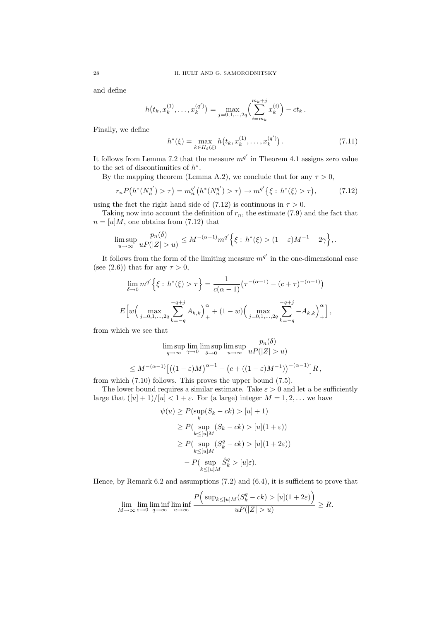and define

$$
h(t_k, x_k^{(1)}, \dots, x_k^{(q')}) = \max_{j=0,1,\dots,2q} \left( \sum_{i=m_k}^{m_k+j} x_k^{(i)} \right) - ct_k.
$$

Finally, we define

$$
h^*(\xi) = \max_{k \in H_\delta(\xi)} h(t_k, x_k^{(1)}, \dots, x_k^{(q')}) \,. \tag{7.11}
$$

It follows from Lemma 7.2 that the measure  $m^{q'}$  in Theorem 4.1 assigns zero value to the set of discontinuities of  $h^*$ .

By the mapping theorem (Lemma A.2), we conclude that for any  $\tau > 0$ ,

$$
r_n P(h^*(N_n^{q'}) > \tau) = m_n^{q'}(h^*(N_n^{q'}) > \tau) \to m^{q'}\{\xi : h^*(\xi) > \tau\},\tag{7.12}
$$

using the fact the right hand side of (7.12) is continuous in  $\tau > 0$ .

Taking now into account the definition of  $r_n$ , the estimate (7.9) and the fact that  $n = [u]M$ , one obtains from (7.12) that

$$
\limsup_{u\to\infty}\frac{p_n(\delta)}{uP(|Z|>u)}\leq M^{-(\alpha-1)}m^{q'}\Big\{\xi:\, h^*(\xi)>(1-\varepsilon)M^{-1}-2\gamma\Big\},.
$$

It follows from the form of the limiting measure  $m^{q'}$  in the one-dimensional case (see (2.6)) that for any  $\tau > 0$ ,

$$
\lim_{\delta \to 0} m^{q'} \left\{ \xi : h^*(\xi) > \tau \right\} = \frac{1}{c(\alpha - 1)} \left( \tau^{-(\alpha - 1)} - (c + \tau)^{-(\alpha - 1)} \right)
$$

$$
E \left[ w \left( \max_{j=0,1,\ldots,2q} \sum_{k=-q}^{-q+j} A_{k,k} \right)_{+}^{\alpha} + (1 - w) \left( \max_{j=0,1,\ldots,2q} \sum_{k=-q}^{-q+j} -A_{k,k} \right)_{+}^{\alpha} \right],
$$

from which we see that

$$
\limsup_{q \to \infty} \lim_{\gamma \to 0} \limsup_{\delta \to 0} \limsup_{u \to \infty} \frac{p_n(\delta)}{u P(|Z| > u)}
$$
  

$$
\leq M^{-(\alpha - 1)} \left[ \left( (1 - \varepsilon) M \right)^{\alpha - 1} - \left( c + \left( (1 - \varepsilon) M^{-1} \right) \right)^{-(\alpha - 1)} \right] R,
$$

from which (7.10) follows. This proves the upper bound (7.5).

The lower bound requires a similar estimate. Take  $\varepsilon > 0$  and let u be sufficiently large that  $([u] + 1)/[u] < 1 + \varepsilon$ . For (a large) integer  $M = 1, 2, ...$  we have

$$
\psi(u) \ge P(\sup_k (S_k - ck) > [u] + 1)
$$
  
\n
$$
\ge P(\sup_{k \le [u]M} (S_k - ck) > [u](1 + \varepsilon))
$$
  
\n
$$
\ge P(\sup_{k \le [u]M} (S_k^q - ck) > [u](1 + 2\varepsilon))
$$
  
\n
$$
- P(\sup_{k \le [u]M} \hat{S}_k^q > [u]\varepsilon).
$$

Hence, by Remark 6.2 and assumptions (7.2) and (6.4), it is sufficient to prove that

$$
\lim_{M \to \infty} \lim_{\varepsilon \to 0} \liminf_{q \to \infty} \liminf_{u \to \infty} \frac{P\Big(\sup_{k \leq [u]_M} (S_k^q - ck) > [u](1 + 2\varepsilon)\Big)}{uP(|Z| > u)} \geq R.
$$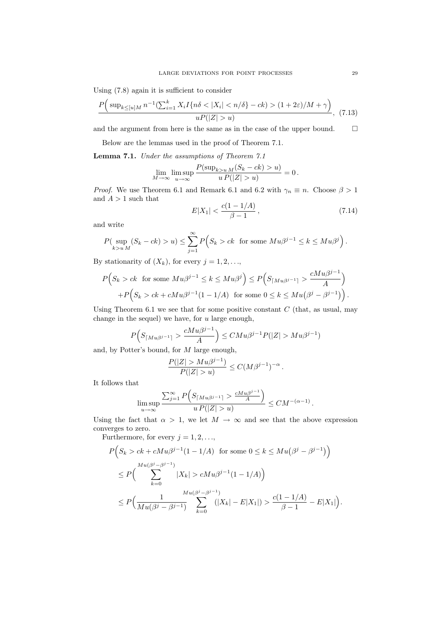Using (7.8) again it is sufficient to consider

$$
\frac{P\Big(\sup_{k\leq [u]M} n^{-1}(\sum_{i=1}^k X_i I\{n\delta < |X_i| < n/\delta\} - ck) > (1+2\varepsilon)/M + \gamma\Big)}{uP(|Z| > u)},\tag{7.13}
$$

and the argument from here is the same as in the case of the upper bound.  $\qquad \Box$ 

Below are the lemmas used in the proof of Theorem 7.1.

Lemma 7.1. Under the assumptions of Theorem 7.1

$$
\lim_{M \to \infty} \limsup_{u \to \infty} \frac{P(\sup_{k>u} M(S_k - ck) > u)}{u P(|Z| > u)} = 0.
$$

*Proof.* We use Theorem 6.1 and Remark 6.1 and 6.2 with  $\gamma_n \equiv n$ . Choose  $\beta > 1$ and  $A > 1$  such that

$$
E|X_1| < \frac{c(1 - 1/A)}{\beta - 1},\tag{7.14}
$$

and write

$$
P(\sup_{k>u M} (S_k - ck) > u) \le \sum_{j=1}^{\infty} P(S_k > ck \text{ for some } M u \beta^{j-1} \le k \le M u \beta^j).
$$

By stationarity of  $(X_k)$ , for every  $j = 1, 2, \ldots$ ,

$$
P(S_k > ck \text{ for some } Mu\beta^{j-1} \le k \le Mu\beta^j) \le P(S_{\lceil Mu\beta^{j-1}\rceil} > \frac{cMu\beta^{j-1}}{A}) + P(S_k > ck + cMu\beta^{j-1}(1 - 1/A) \text{ for some } 0 \le k \le Mu(\beta^j - \beta^{j-1})\big).
$$

Using Theorem 6.1 we see that for some positive constant  $C$  (that, as usual, may change in the sequel) we have, for  $u$  large enough,

$$
P(S_{\lceil Mu\beta^{j-1}\rceil} > \frac{cMu\beta^{j-1}}{A}\Big) \leq CMu\beta^{j-1}P(|Z| > Mu\beta^{j-1})
$$

and, by Potter's bound, for M large enough,

$$
\frac{P(|Z| > M u \beta^{j-1})}{P(|Z| > u)} \le C(M\beta^{j-1})^{-\alpha}.
$$

It follows that

$$
\limsup_{u \to \infty} \frac{\sum_{j=1}^{\infty} P\left(S_{\lceil Mu\beta^{j-1}\rceil} > \frac{cMu\beta^{j-1}}{A}\right)}{u\,P(|Z| > u)} \leq CM^{-(\alpha - 1)}\,.
$$

Using the fact that  $\alpha > 1$ , we let  $M \to \infty$  and see that the above expression converges to zero.

Furthermore, for every  $j = 1, 2, \ldots$ ,

$$
P(S_k > ck + cMu\beta^{j-1}(1 - 1/A) \text{ for some } 0 \le k \le Mu(\beta^j - \beta^{j-1})
$$
  
\n
$$
\le P\Big(\sum_{k=0}^{Mu(\beta^j - \beta^{j-1})} |X_k| > cMu\beta^{j-1}(1 - 1/A)\Big)
$$
  
\n
$$
\le P\Big(\frac{1}{Mu(\beta^j - \beta^{j-1})}\sum_{k=0}^{Mu(\beta^j - \beta^{j-1})}(|X_k| - E|X_1|) > \frac{c(1 - 1/A)}{\beta - 1} - E|X_1|\Big).
$$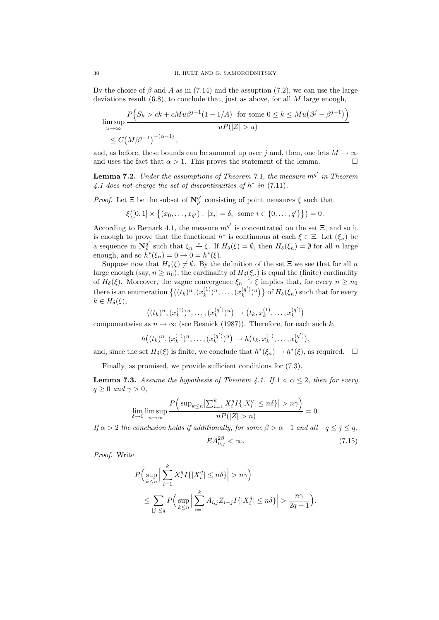By the choice of  $\beta$  and A as in (7.14) and the assuption (7.2), we can use the large deviations result  $(6.8)$ , to conclude that, just as above, for all M large enough,

$$
\limsup_{u \to \infty} \frac{P(S_k > ck + cMu\beta^{j-1}(1 - 1/A) \text{ for some } 0 \le k \le Mu(\beta^j - \beta^{j-1}))}{uP(|Z| > u)}
$$
  

$$
\le C\left(M\beta^{j-1}\right)^{-(\alpha - 1)},
$$

and, as before, these bounds can be summed up over j and, then, one lets  $M \to \infty$ and uses the fact that  $\alpha > 1$ . This proves the statement of the lemma.

**Lemma 7.2.** Under the assumptions of Theorem 7.1, the measure  $m^{q'}$  in Theorem 4.1 does not charge the set of discontinuities of  $h^*$  in (7.11).

*Proof.* Let  $\Xi$  be the subset of  $\mathbb{N}_p^{q'}$  consisting of point measures  $\xi$  such that

$$
\xi([0,1] \times \{(x_0,\ldots,x_{q'}): |x_i| = \delta, \text{ some } i \in \{0,\ldots,q'\}\}) = 0.
$$

According to Remark 4.1, the measure  $m^{q'}$  is concentrated on the set  $\Xi$ , and so it is enough to prove that the functional  $h^*$  is continuous at each  $\xi \in \Xi$ . Let  $(\xi_n)$  be a sequence in  $\mathbb{N}_p^{q'}$  such that  $\xi_n \stackrel{\nu}{\rightarrow} \xi$ . If  $H_\delta(\xi) = \emptyset$ , then  $H_\delta(\xi_n) = \emptyset$  for all n large enough, and so  $\dot{h}^*(\xi_n) = 0 \to 0 = h^*(\xi)$ .

Suppose now that  $H_\delta(\xi) \neq \emptyset$ . By the definition of the set  $\Xi$  we see that for all n large enough (say,  $n \ge n_0$ ), the cardinality of  $H_\delta(\xi_n)$  is equal the (finite) cardinality of  $H_\delta(\xi)$ . Moreover, the vague convergence  $\xi_n \stackrel{\nu}{\to} \xi$  implies that, for every  $n \geq n_0$ there is an enumeration  $\{((t_k)^n, (x_k^{(1)})\})$  $(x_k^{(1)})^n, \ldots, (x_k^{(q)})^n$  ${k^{(q')}}\choose{k}$  of  $H_\delta(\xi_n)$  such that for every  $k \in H_{\delta}(\xi),$ 

$$
((t_k)^n, (x_k^{(1)})^n, \ldots, (x_k^{(q')})^n) \to (t_k, x_k^{(1)}, \ldots, x_k^{(q')})
$$

componentwise as  $n \to \infty$  (see Resnick (1987)). Therefore, for each such k,

$$
h((t_k)^n, (x_k^{(1)})^n, \ldots, (x_k^{(q')})^n) \to h(t_k, x_k^{(1)}, \ldots, x_k^{(q')}),
$$

and, since the set  $H_\delta(\xi)$  is finite, we conclude that  $h^*(\xi_n) \to h^*(\xi)$ , as required.  $\Box$ 

Finally, as promised, we provide sufficient conditions for (7.3).

**Lemma 7.3.** Assume the hypothesis of Theorem 4.1. If  $1 < \alpha \leq 2$ , then for every  $q \geq 0$  and  $\gamma > 0$ ,

$$
\lim_{\delta \to 0} \limsup_{n \to \infty} \frac{P\left(\sup_{k \le n} \left|\sum_{i=1}^k X_i^q I\{|X_i^q| \le n\delta\}\right| > n\gamma\right)}{nP(|Z| > n)} = 0.
$$

If  $\alpha > 2$  the conclusion holds if additionally, for some  $\beta > \alpha - 1$  and all  $-q \leq j \leq q$ ,  $EA_{0,j}^{2\beta} < \infty.$  (7.15)

Proof. Write

$$
P\Big(\sup_{k\le n}\Big|\sum_{i=1}^k X_i^q I\{|X_i^q|\le n\delta\}\Big|>n\gamma\Big)
$$
  

$$
\le \sum_{|j|\le q} P\Big(\sup_{k\le n}\Big|\sum_{i=1}^k A_{i,j}Z_{i-j}I\{|X_i^q|\le n\delta\}\Big|>\frac{n\gamma}{2q+1}\Big).
$$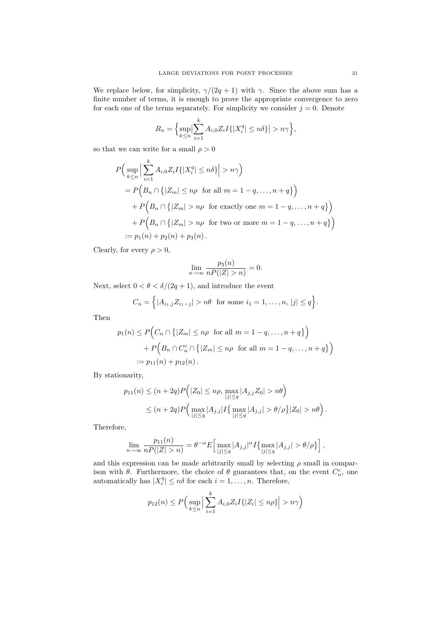We replace below, for simplicity,  $\gamma/(2q+1)$  with  $\gamma$ . Since the above sum has a finite number of terms, it is enough to prove the appropriate convergence to zero for each one of the terms separately. For simplicity we consider  $j = 0$ . Denote

$$
B_n = \Big\{\sup_{k \le n} \Big| \sum_{i=1}^k A_{i,0} Z_i I\{|X_i^q| \le n\delta\} \Big| > n\gamma\Big\},\
$$

so that we can write for a small  $\rho > 0$ 

$$
P\Big(\sup_{k\leq n}\Big|\sum_{i=1}^{k}A_{i,0}Z_{i}I\{|X_{i}^{q}|\leq n\delta\}\Big|>n\gamma\Big)
$$
  
=  $P\Big(B_{n}\cap\big\{|Z_{m}|\leq n\rho \text{ for all } m=1-q,\ldots,n+q\}\Big)$   
+  $P\Big(B_{n}\cap\big\{|Z_{m}|>n\rho \text{ for exactly one } m=1-q,\ldots,n+q\}\Big)$   
+  $P\Big(B_{n}\cap\big\{|Z_{m}|>n\rho \text{ for two or more } m=1-q,\ldots,n+q\}\Big)$   
:=  $p_{1}(n)+p_{2}(n)+p_{3}(n)$ .

Clearly, for every  $\rho > 0$ ,

$$
\lim_{n \to \infty} \frac{p_3(n)}{nP(|Z| > n)} = 0.
$$

Next, select  $0 < \theta < \delta/(2q+1)$ , and introduce the event

$$
C_n = \left\{ |A_{i_1,j}Z_{i_1-j}| > n\theta \text{ for some } i_1 = 1,\ldots,n, |j| \leq q \right\}.
$$

Then

$$
p_1(n) \le P\Big(C_n \cap \{|Z_m| \le n\rho \text{ for all } m = 1 - q, \dots, n + q\}\Big)
$$
  
+ 
$$
P\Big(B_n \cap C_n^c \cap \{|Z_m| \le n\rho \text{ for all } m = 1 - q, \dots, n + q\}\Big)
$$
  
:= 
$$
p_{11}(n) + p_{12}(n).
$$

By stationarity,

$$
p_{11}(n) \le (n+2q)P(|Z_0| \le n\rho, \max_{|j| \le q} |A_{j,j}Z_0| > n\theta)
$$
  
 
$$
\le (n+2q)P(\max_{|j| \le q} |A_{j,j}|I{\max_{|j| \le q} |A_{j,j}| > \theta/\rho}|Z_0| > n\theta).
$$

Therefore,

$$
\lim_{n \to \infty} \frac{p_{11}(n)}{nP(|Z| > n)} = \theta^{-\alpha} E\Big[\max_{|j| \le q} |A_{j,j}|^{\alpha} I\{\max_{|j| \le q} |A_{j,j}| > \theta/\rho\}\Big],
$$

and this expression can be made arbitrarily small by selecting  $\rho$  small in comparison with  $\theta$ . Furthermore, the choice of  $\theta$  guarantees that, on the event  $C_n^c$ , one automatically has  $|X_i^q| \leq n\delta$  for each  $i = 1, ..., n$ . Therefore,

$$
p_{12}(n) \le P\Big(\sup_{k\le n}\Big|\sum_{i=1}^k A_{i,0}Z_iI\{|Z_i|\le n\rho\}\Big|>n\gamma\Big)
$$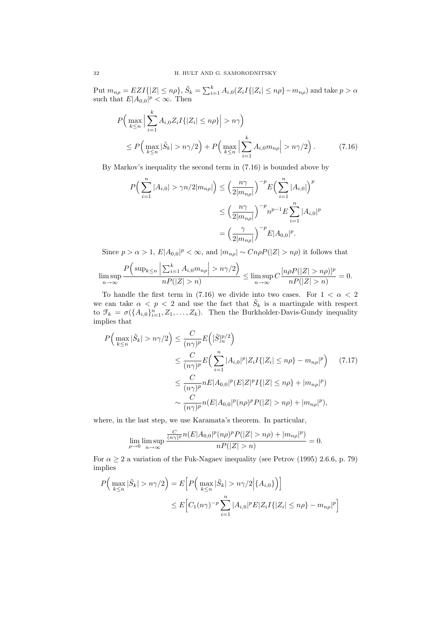Put  $m_{n\rho}=EZI\{|Z|\leq n\rho\}, \tilde{S}_k=\sum_{i=1}^k A_{i,0}(Z_iI\{|Z_i|\leq n\rho\}-m_{n\rho})$  and take  $p>\alpha$ such that  $E|A_{0,0}|^p < \infty$ . Then

$$
P\Big(\max_{k\leq n}\Big|\sum_{i=1}^{k}A_{i,0}Z_{i}I\{|Z_{i}|\leq n\rho\}\Big|>n\gamma\Big)
$$
  
 
$$
\leq P\Big(\max_{k\leq n}|\tilde{S}_{k}|>n\gamma/2\Big)+P\Big(\max_{k\leq n}\Big|\sum_{i=1}^{k}A_{i,0}m_{n\rho}\Big|>n\gamma/2\Big).
$$
 (7.16)

By Markov's inequality the second term in (7.16) is bounded above by

$$
P\left(\sum_{i=1}^{n} |A_{i,0}| > \gamma n/2 |m_{n\rho}|\right) \le \left(\frac{n\gamma}{2|m_{n\rho}|}\right)^{-p} E\left(\sum_{i=1}^{n} |A_{i,0}|\right)^{p}
$$
  

$$
\le \left(\frac{n\gamma}{2|m_{n\rho}|}\right)^{-p} n^{p-1} E \sum_{i=1}^{n} |A_{i,0}|^{p}
$$
  

$$
= \left(\frac{\gamma}{2|m_{n\rho}|}\right)^{-p} E|A_{0,0}|^{p}.
$$

Since  $p > \alpha > 1$ ,  $E |A_{0,0}|^p < \infty$ , and  $|m_{n\rho}| \sim CnpP(|Z| > n\rho)$  it follows that

$$
\limsup_{n\to\infty}\frac{P\Big(\sup_{k\leq n}\Big|\sum_{i=1}^k A_{i,0}m_{n\rho}\Big|>n\gamma/2\Big)}{nP(|Z|>n)}\leq \limsup_{n\to\infty}C\frac{[n\rho P(|Z|>n\rho)]^p}{nP(|Z|>n)}=0.
$$

To handle the first term in (7.16) we divide into two cases. For  $1 < \alpha < 2$ we can take  $\alpha < p < 2$  and use the fact that  $\tilde{S}_k$  is a martingale with respect to  $\mathcal{F}_k = \sigma(\{A_{i,0}\}_{i=1}^n, Z_1, \ldots, Z_k)$ . Then the Burkholder-Davis-Gundy inequality implies that

$$
P\Big(\max_{k\leq n}|\tilde{S}_k| > n\gamma/2\Big) \leq \frac{C}{(n\gamma)^p} E\Big([\tilde{S}]_n^{p/2}\Big)
$$
  
\n
$$
\leq \frac{C}{(n\gamma)^p} E\Big(\sum_{i=1}^n |A_{i,0}|^p |Z_i I\{|Z_i| \leq n\rho\} - m_{n\rho}|^p\Big) \qquad (7.17)
$$
  
\n
$$
\leq \frac{C}{(n\gamma)^p} nE|A_{0,0}|^p (E|Z|^p I\{|Z| \leq n\rho\} + |m_{n\rho}|^p)
$$
  
\n
$$
\sim \frac{C}{(n\gamma)^p} n(E|A_{0,0}|^p (n\rho)^p P(|Z| > n\rho) + |m_{n\rho}|^p),
$$

where, in the last step, we use Karamata's theorem. In particular,

$$
\lim_{\rho \to 0} \limsup_{n \to \infty} \frac{\frac{C}{(n\gamma)^p} n(E|A_{0,0}|^p (n\rho)^p P(|Z| > n\rho) + |m_{n\rho}|^p)}{nP(|Z| > n)} = 0.
$$

For  $\alpha \geq 2$  a variation of the Fuk-Nagaev inequality (see Petrov (1995) 2.6.6, p. 79) implies

$$
P\Big(\max_{k\leq n}|\tilde{S}_k| > n\gamma/2\Big) = E\Big[P\Big(\max_{k\leq n}|\tilde{S}_k| > n\gamma/2\Big|\{A_{i,0}\}\Big)\Big]
$$
  

$$
\leq E\Big[C_1(n\gamma)^{-p}\sum_{i=1}^n|A_{i,0}|^pE|Z_iI\{|Z_i|\leq n\rho\}-m_{n\rho}|^p\Big]
$$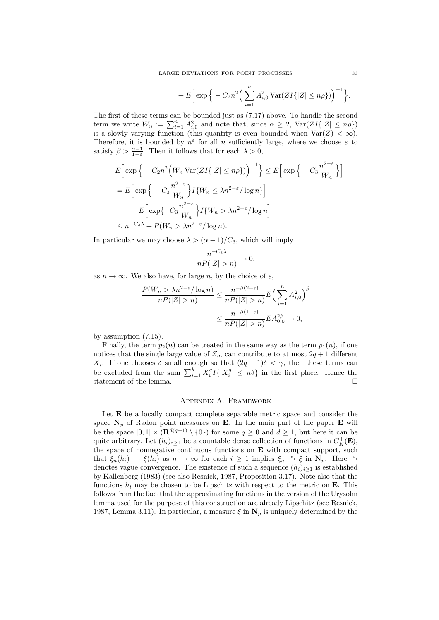$$
+ E\Big[\exp\Big\{-C_2n^2\Big(\sum_{i=1}^n A_{i,0}^2\operatorname{Var}(ZI\{|Z|\leq n\rho\})\Big)^{-1}\Big\}.
$$

The first of these terms can be bounded just as (7.17) above. To handle the second term we write  $W_n := \sum_{i=1}^n A_{i,0}^2$  and note that, since  $\alpha \geq 2$ ,  $Var(ZI\{|Z| \leq n\rho\})$ is a slowly varying function (this quantity is even bounded when  $\text{Var}(Z) < \infty$ ). Therefore, it is bounded by  $n^{\varepsilon}$  for all n sufficiently large, where we choose  $\varepsilon$  to satisfy  $\beta > \frac{\alpha - 1}{1 - \varepsilon}$ . Then it follows that for each  $\lambda > 0$ ,

$$
E\left[\exp\left\{-C_2n^2\left(W_n\operatorname{Var}(ZI\{|Z|\leq n\rho\})\right)^{-1}\right\}\right] \leq E\left[\exp\left\{-C_3\frac{n^{2-\epsilon}}{W_n}\right\}\right]
$$

$$
= E\left[\exp\left\{-C_3\frac{n^{2-\epsilon}}{W_n}\right\}I\{W_n \leq \lambda n^{2-\epsilon}/\log n\}\right]
$$

$$
+ E\left[\exp\{-C_3\frac{n^{2-\epsilon}}{W_n}\right\}I\{W_n > \lambda n^{2-\epsilon}/\log n\}\right]
$$

$$
\leq n^{-C_3\lambda} + P(W_n > \lambda n^{2-\epsilon}/\log n).
$$

In particular we may choose  $\lambda > (\alpha - 1)/C_3$ , which will imply

$$
\frac{n^{-C_3\lambda}}{nP(|Z|>n)} \to 0,
$$

as  $n \to \infty$ . We also have, for large n, by the choice of  $\varepsilon$ ,

$$
\frac{P(W_n > \lambda n^{2-\varepsilon}/\log n)}{nP(|Z| > n)} \le \frac{n^{-\beta(2-\varepsilon)}}{nP(|Z| > n)} E\left(\sum_{i=1}^n A_{i,0}^2\right)^{\beta}
$$

$$
\le \frac{n^{-\beta(1-\varepsilon)}}{nP(|Z| > n)} E A_{0,0}^{2\beta} \to 0,
$$

by assumption (7.15).

Finally, the term  $p_2(n)$  can be treated in the same way as the term  $p_1(n)$ , if one notices that the single large value of  $Z_m$  can contribute to at most  $2q + 1$  different  $X_i$ . If one chooses  $\delta$  small enough so that  $(2q + 1)\delta < \gamma$ , then these terms can be excluded from the sum  $\sum_{i=1}^{k} X_i^q I\{|X_i^q| \leq n\delta\}$  in the first place. Hence the statement of the lemma.  $\hfill \square$ 

### Appendix A. Framework

Let **E** be a locally compact complete separable metric space and consider the space  $\mathbf{N}_p$  of Radon point measures on **E**. In the main part of the paper **E** will be the space  $[0,1] \times (\mathbf{R}^{d(q+1)} \setminus \{0\})$  for some  $q \geq 0$  and  $d \geq 1$ , but here it can be quite arbitrary. Let  $(h_i)_{i\geq 1}$  be a countable dense collection of functions in  $C_K^+(\mathbf{E})$ , the space of nonnegative continuous functions on  $E$  with compact support, such that  $\xi_n(h_i) \to \xi(h_i)$  as  $n \to \infty$  for each  $i \geq 1$  implies  $\xi_n \stackrel{\nu}{\to} \xi$  in  $\mathbb{N}_p$ . Here  $\stackrel{\nu}{\to}$ denotes vague convergence. The existence of such a sequence  $(h_i)_{i\geq 1}$  is established by Kallenberg (1983) (see also Resnick, 1987, Proposition 3.17). Note also that the functions  $h_i$  may be chosen to be Lipschitz with respect to the metric on **E**. This follows from the fact that the approximating functions in the version of the Urysohn lemma used for the purpose of this construction are already Lipschitz (see Resnick, 1987, Lemma 3.11). In particular, a measure  $\xi$  in  $N_p$  is uniquely determined by the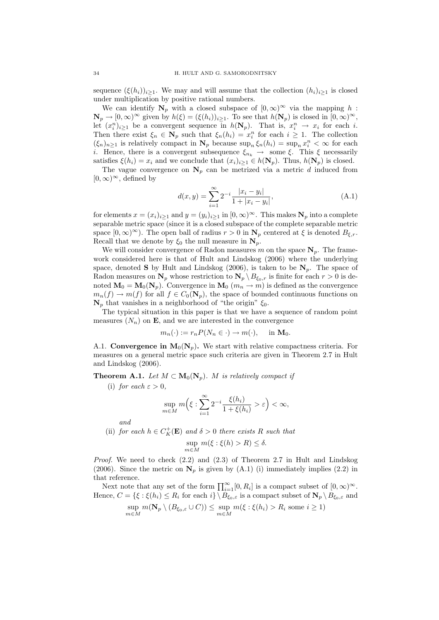sequence  $(\xi(h_i))_{i\geq 1}$ . We may and will assume that the collection  $(h_i)_{i\geq 1}$  is closed under multiplication by positive rational numbers.

We can identify  $N_p$  with a closed subspace of  $[0,\infty)^\infty$  via the mapping h:  $\mathbf{N}_p \to [0,\infty)^\infty$  given by  $h(\xi) = (\xi(h_i))_{i \geq 1}$ . To see that  $h(\mathbf{N}_p)$  is closed in  $[0,\infty)^\infty$ , let  $(x_i^n)_{i\geq 1}$  be a convergent sequence in  $h(\mathbf{N}_p)$ . That is,  $x_i^n \to x_i$  for each i. Then there exist  $\xi_n \in \mathbb{N}_p$  such that  $\xi_n(h_i) = x_i^n$  for each  $i \geq 1$ . The collection  $(\xi_n)_{n\geq 1}$  is relatively compact in  $N_p$  because  $\sup_n \xi_n(h_i) = \sup_n x_i^n < \infty$  for each *i*. Hence, there is a convergent subsequence  $\xi_{n_k} \rightarrow$  some  $\xi$ . This  $\xi$  necessarily satisfies  $\xi(h_i) = x_i$  and we conclude that  $(x_i)_{i\geq 1} \in h(\mathbf{N}_p)$ . Thus,  $h(\mathbf{N}_p)$  is closed.

The vague convergence on  $N_p$  can be metrized via a metric d induced from  $[0,\infty)^\infty$ , defined by

$$
d(x,y) = \sum_{i=1}^{\infty} 2^{-i} \frac{|x_i - y_i|}{1 + |x_i - y_i|},
$$
\n(A.1)

for elements  $x = (x_i)_{i\geq 1}$  and  $y = (y_i)_{i\geq 1}$  in  $[0, \infty)^\infty$ . This makes  $N_p$  into a complete separable metric space (since it is a closed subspace of the complete separable metric space  $[0,\infty)^\infty$ ). The open ball of radius  $r>0$  in  $\mathbf{N}_p$  centered at  $\xi$  is denoted  $B_{\xi,r}$ . Recall that we denote by  $\xi_0$  the null measure in  $N_p$ .

We will consider convergence of Radon measures m on the space  $N_p$ . The framework considered here is that of Hult and Lindskog (2006) where the underlying space, denoted **S** by Hult and Lindskog (2006), is taken to be  $N_p$ . The space of Radon measures on  $N_p$  whose restriction to  $N_p \setminus B_{\xi_0,r}$  is finite for each  $r > 0$  is denoted  $M_0 = M_0(N_p)$ . Convergence in  $M_0(m_n \to m)$  is defined as the convergence  $m_n(f) \to m(f)$  for all  $f \in C_0(\mathbf{N}_p)$ , the space of bounded continuous functions on  $N_p$  that vanishes in a neighborhood of "the origin"  $\xi_0$ .

The typical situation in this paper is that we have a sequence of random point measures  $(N_n)$  on **E**, and we are interested in the convergence

$$
m_n(\cdot) := r_n P(N_n \in \cdot) \to m(\cdot), \quad \text{in } \mathbf{M}_0.
$$

A.1. Convergence in  $M_0(N_p)$ . We start with relative compactness criteria. For measures on a general metric space such criteria are given in Theorem 2.7 in Hult and Lindskog (2006).

**Theorem A.1.** Let  $M \subset M_0(N_p)$ . M is relatively compact if

(i) for each  $\varepsilon > 0$ ,

$$
\sup_{m\in M} m\Big(\xi:\sum_{i=1}^\infty 2^{-i}\frac{\xi(h_i)}{1+\xi(h_i)}>\varepsilon\Big)<\infty,
$$

and

(ii) for each  $h \in C_K^+(\mathbf{E})$  and  $\delta > 0$  there exists R such that

$$
\sup_{m \in M} m(\xi : \xi(h) > R) \le \delta.
$$

*Proof.* We need to check  $(2.2)$  and  $(2.3)$  of Theorem 2.7 in Hult and Lindskog (2006). Since the metric on  $N_p$  is given by (A.1) (i) immediately implies (2.2) in that reference.

Next note that any set of the form  $\prod_{i=1}^{\infty} [0, R_i]$  is a compact subset of  $[0, \infty)^\infty$ . Hence,  $C = \{\xi : \xi(h_i) \leq R_i \text{ for each } i\} \setminus B_{\xi_0, \varepsilon}$  is a compact subset of  $\mathbf{N}_p \setminus B_{\xi_0, \varepsilon}$  and

$$
\sup_{m \in M} m(\mathbf{N}_p \setminus (B_{\xi_0, \varepsilon} \cup C)) \le \sup_{m \in M} m(\xi : \xi(h_i) > R_i \text{ some } i \ge 1)
$$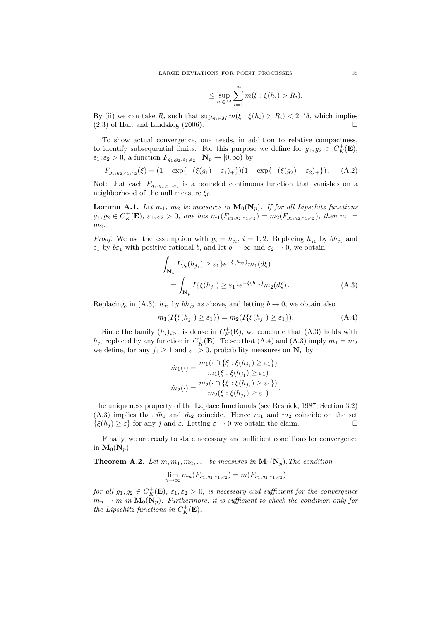$$
\leq \sup_{m \in M} \sum_{i=1}^{\infty} m(\xi : \xi(h_i) > R_i).
$$

By (ii) we can take  $R_i$  such that  $\sup_{m \in M} m(\xi : \xi(h_i) > R_i) < 2^{-i}\delta$ , which implies  $(2.3)$  of Hult and Lindskog  $(2006)$ .

To show actual convergence, one needs, in addition to relative compactness, to identify subsequential limits. For this purpose we define for  $g_1, g_2 \in C_K^+(\mathbf{E}),$  $\varepsilon_1, \varepsilon_2 > 0$ , a function  $F_{g_1, g_2, \varepsilon_1, \varepsilon_2} : \mathbf{N}_p \to [0, \infty)$  by

$$
F_{g_1, g_2, \varepsilon_1, \varepsilon_2}(\xi) = (1 - \exp\{-(\xi(g_1) - \varepsilon_1)_+\}) (1 - \exp\{-(\xi(g_2) - \varepsilon_2)_+\}) \,. \tag{A.2}
$$

Note that each  $F_{g_1,g_2,\varepsilon_1,\varepsilon_2}$  is a bounded continuous function that vanishes on a neighborhood of the null measure  $\xi_0$ .

**Lemma A.1.** Let  $m_1$ ,  $m_2$  be measures in  $\mathbf{M}_0(\mathbf{N}_p)$ . If for all Lipschitz functions  $g_1, g_2 \in C_K^+(\mathbf{E}), \ \varepsilon_1, \varepsilon_2 > 0, \text{ one has } m_1(F_{g_1, g_2, \varepsilon_1, \varepsilon_2}) = m_2(F_{g_1, g_2, \varepsilon_1, \varepsilon_2}), \text{ then } m_1 =$  $m<sub>2</sub>$ .

*Proof.* We use the assumption with  $g_i = h_{j_i}$ ,  $i = 1, 2$ . Replacing  $h_{j_1}$  by  $bh_{j_1}$  and  $\varepsilon_1$  by  $b\varepsilon_1$  with positive rational b, and let  $b \to \infty$  and  $\varepsilon_2 \to 0$ , we obtain

$$
\int_{\mathbf{N}_p} I\{\xi(h_{j_1}) \ge \varepsilon_1\} e^{-\xi(h_{j_2})} m_1(d\xi)
$$
\n
$$
= \int_{\mathbf{N}_p} I\{\xi(h_{j_1}) \ge \varepsilon_1\} e^{-\xi(h_{j_2})} m_2(d\xi). \tag{A.3}
$$

Replacing, in (A.3),  $h_{j_2}$  by  $bh_{j_2}$  as above, and letting  $b \to 0$ , we obtain also

$$
m_1(I\{\xi(h_{j_1}) \ge \varepsilon_1\}) = m_2(I\{\xi(h_{j_1}) \ge \varepsilon_1\}).
$$
\n(A.4)

Since the family  $(h_i)_{i\geq 1}$  is dense in  $C_K^+(\mathbf{E})$ , we conclude that  $(A.3)$  holds with  $h_{j_2}$  replaced by any function in  $C_K^+({\bf E})$ . To see that (A.4) and (A.3) imply  $m_1 = m_2$ we define, for any  $j_1 \geq 1$  and  $\varepsilon_1 > 0$ , probability measures on  $N_p$  by

$$
\tilde{m}_1(\cdot) = \frac{m_1(\cdot \cap \{\xi : \xi(h_{j_1}) \ge \varepsilon_1\})}{m_1(\xi : \xi(h_{j_1}) \ge \varepsilon_1)}
$$

$$
\tilde{m}_2(\cdot) = \frac{m_2(\cdot \cap \{\xi : \xi(h_{j_1}) \ge \varepsilon_1\})}{m_2(\xi : \xi(h_{j_1}) \ge \varepsilon_1)}.
$$

The uniqueness property of the Laplace functionals (see Resnick, 1987, Section 3.2) (A.3) implies that  $\tilde{m}_1$  and  $\tilde{m}_2$  coincide. Hence  $m_1$  and  $m_2$  coincide on the set  $\{\xi(h_i) \geq \varepsilon\}$  for any j and  $\varepsilon$ . Letting  $\varepsilon \to 0$  we obtain the claim.

Finally, we are ready to state necessary and sufficient conditions for convergence in  $\mathbf{M}_0(\mathbf{N}_p)$ .

**Theorem A.2.** Let  $m, m_1, m_2, \ldots$  be measures in  $\mathbf{M}_0(\mathbf{N}_p)$ . The condition

$$
\lim_{n \to \infty} m_n(F_{g_1, g_2, \varepsilon_1, \varepsilon_2}) = m(F_{g_1, g_2, \varepsilon_1, \varepsilon_2})
$$

for all  $g_1, g_2 \in C_K^+(\mathbf{E}), \varepsilon_1, \varepsilon_2 > 0$ , is necessary and sufficient for the convergence  $m_n \to m$  in  $\mathbf{M}_0(\mathbf{N}_p)$ . Furthermore, it is sufficient to check the condition only for the Lipschitz functions in  $C_K^+(\mathbf{E})$ .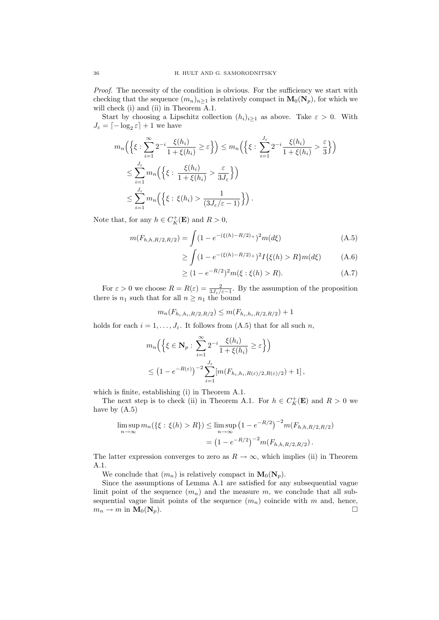Proof. The necessity of the condition is obvious. For the sufficiency we start with checking that the sequence  $(m_n)_{n\geq 1}$  is relatively compact in  $\mathbf{M}_0(\mathbf{N}_p)$ , for which we will check (i) and (ii) in Theorem A.1.

Start by choosing a Lipschitz collection  $(h_i)_{i\geq 1}$  as above. Take  $\varepsilon > 0$ . With  $J_{\varepsilon} = \lceil -\log_2 \varepsilon \rceil + 1$  we have

$$
m_n\Big(\Big\{\xi:\sum_{i=1}^{\infty}2^{-i}\frac{\xi(h_i)}{1+\xi(h_i)}\geq\varepsilon\Big\}\Big)\leq m_n\Big(\Big\{\xi:\sum_{i=1}^{J_{\varepsilon}}2^{-i}\frac{\xi(h_i)}{1+\xi(h_i)}>\frac{\varepsilon}{3}\Big\}\Big)
$$
  

$$
\leq \sum_{i=1}^{J_{\varepsilon}}m_n\Big(\Big\{\xi:\frac{\xi(h_i)}{1+\xi(h_i)}>\frac{\varepsilon}{3J_{\varepsilon}}\Big\}\Big)
$$
  

$$
\leq \sum_{i=1}^{J_{\varepsilon}}m_n\Big(\Big\{\xi:\xi(h_i)>\frac{1}{(3J_{\varepsilon}/\varepsilon-1)}\Big\}\Big).
$$

Note that, for any  $h \in C_K^+(\mathbf{E})$  and  $R > 0$ ,

$$
m(F_{h,h,R/2,R/2}) = \int (1 - e^{-(\xi(h) - R/2)_+})^2 m(d\xi)
$$
 (A.5)

$$
\geq \int (1 - e^{-(\xi(h) - R/2)_+})^2 I\{\xi(h) > R\} m(d\xi) \tag{A.6}
$$

$$
\geq (1 - e^{-R/2})^2 m(\xi : \xi(h) > R). \tag{A.7}
$$

For  $\varepsilon > 0$  we choose  $R = R(\varepsilon) = \frac{2}{3J_{\varepsilon}/\varepsilon - 1}$ . By the assumption of the proposition there is  $n_1$  such that for all  $n \geq n_1$  the bound

$$
m_n(F_{h_i,h_i,R/2,R/2}) \le m(F_{h_i,h_i,R/2,R/2}) + 1
$$

holds for each  $i = 1, \ldots, J_{\varepsilon}$ . It follows from (A.5) that for all such n,

$$
m_n\Big(\Big\{\xi \in \mathbf{N}_p : \sum_{i=1}^{\infty} 2^{-i} \frac{\xi(h_i)}{1 + \xi(h_i)} \ge \varepsilon\Big\}\Big)
$$
  

$$
\le \left(1 - e^{-R(\varepsilon)}\right)^{-2} \sum_{i=1}^{J_{\varepsilon}} [m(F_{h_i, h_i, R(\varepsilon)/2, R(\varepsilon)/2}) + 1],
$$

which is finite, establishing (i) in Theorem A.1.

The next step is to check (ii) in Theorem A.1. For  $h \in C_K^+(\mathbf{E})$  and  $R > 0$  we have by (A.5)

$$
\limsup_{n \to \infty} m_n(\{\xi : \xi(h) > R\}) \le \limsup_{n \to \infty} (1 - e^{-R/2})^{-2} m(F_{h,h,R/2,R/2})
$$

$$
= (1 - e^{-R/2})^{-2} m(F_{h,h,R/2,R/2}).
$$

The latter expression converges to zero as  $R \to \infty$ , which implies (ii) in Theorem A.1.

We conclude that  $(m_n)$  is relatively compact in  $\mathbf{M}_0(\mathbf{N}_p)$ .

Since the assumptions of Lemma A.1 are satisfied for any subsequential vague limit point of the sequence  $(m_n)$  and the measure m, we conclude that all subsequential vague limit points of the sequence  $(m_n)$  coincide with m and, hence,  $m_n \to m$  in  $\mathbf{M}_0(\mathbf{N}_p)$ .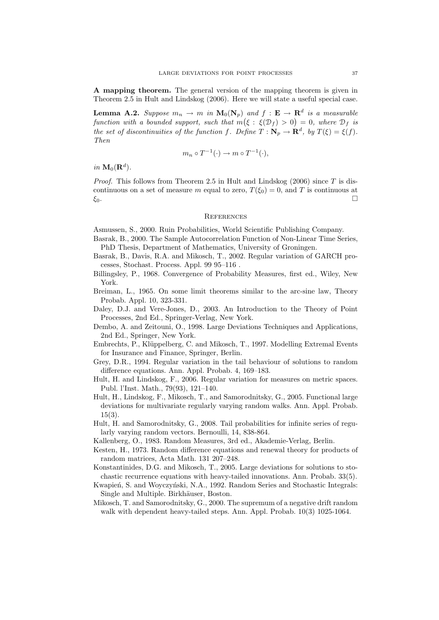A mapping theorem. The general version of the mapping theorem is given in Theorem 2.5 in Hult and Lindskog (2006). Here we will state a useful special case.

**Lemma A.2.** Suppose  $m_n \to m$  in  $\mathbf{M}_0(\mathbf{N}_p)$  and  $f : \mathbf{E} \to \mathbf{R}^d$  is a measurable function with a bounded support, such that  $m(\xi : \xi(\mathcal{D}_f) > 0) = 0$ , where  $\mathcal{D}_f$  is the set of discontinuities of the function f. Define  $T : \mathbb{N}_p \to \mathbb{R}^d$ , by  $T(\xi) = \xi(f)$ . Then

$$
m_n \circ T^{-1}(\cdot) \to m \circ T^{-1}(\cdot),
$$

in  $\mathbf{M}_0(\mathbf{R}^d)$ .

*Proof.* This follows from Theorem 2.5 in Hult and Lindskog  $(2006)$  since T is discontinuous on a set of measure m equal to zero,  $T(\xi_0) = 0$ , and T is continuous at  $\xi_0$ .

#### **REFERENCES**

Asmussen, S., 2000. Ruin Probabilities, World Scientific Publishing Company.

- Basrak, B., 2000. The Sample Autocorrelation Function of Non-Linear Time Series, PhD Thesis, Department of Mathematics, University of Groningen.
- Basrak, B., Davis, R.A. and Mikosch, T., 2002. Regular variation of GARCH processes, Stochast. Process. Appl. 99 95–116 .
- Billingsley, P., 1968. Convergence of Probability Measures, first ed., Wiley, New York.
- Breiman, L., 1965. On some limit theorems similar to the arc-sine law, Theory Probab. Appl. 10, 323-331.
- Daley, D.J. and Vere-Jones, D., 2003. An Introduction to the Theory of Point Processes, 2nd Ed., Springer-Verlag, New York.
- Dembo, A. and Zeitouni, O., 1998. Large Deviations Techniques and Applications, 2nd Ed., Springer, New York.
- Embrechts, P., Klüppelberg, C. and Mikosch, T., 1997. Modelling Extremal Events for Insurance and Finance, Springer, Berlin.
- Grey, D.R., 1994. Regular variation in the tail behaviour of solutions to random difference equations. Ann. Appl. Probab. 4, 169–183.
- Hult, H. and Lindskog, F., 2006. Regular variation for measures on metric spaces. Publ. l'Inst. Math., 79(93), 121–140.
- Hult, H., Lindskog, F., Mikosch, T., and Samorodnitsky, G., 2005. Functional large deviations for multivariate regularly varying random walks. Ann. Appl. Probab. 15(3).
- Hult, H. and Samorodnitsky, G., 2008. Tail probabilities for infinite series of regularly varying random vectors. Bernoulli, 14, 838-864.
- Kallenberg, O., 1983. Random Measures, 3rd ed., Akademie-Verlag, Berlin.
- Kesten, H., 1973. Random difference equations and renewal theory for products of random matrices, Acta Math. 131 207–248.
- Konstantinides, D.G. and Mikosch, T., 2005. Large deviations for solutions to stochastic recurrence equations with heavy-tailed innovations. Ann. Probab. 33(5).
- Kwapień, S. and Woyczyński, N.A., 1992. Random Series and Stochastic Integrals: Single and Multiple. Birkhäuser, Boston.
- Mikosch, T. and Samorodnitsky, G., 2000. The supremum of a negative drift random walk with dependent heavy-tailed steps. Ann. Appl. Probab. 10(3) 1025-1064.